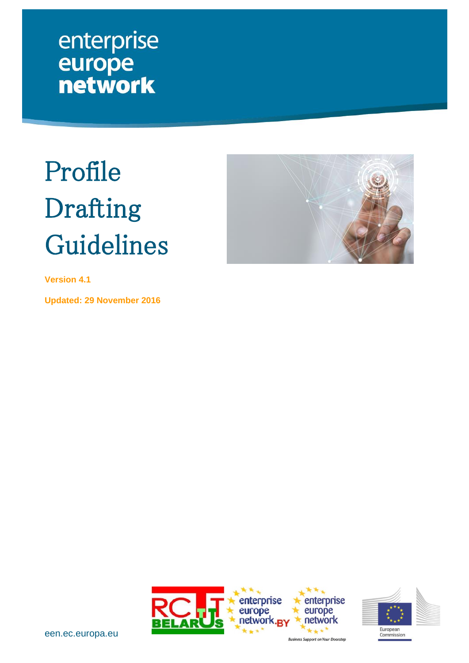enterprise europe<br>network

# <span id="page-0-0"></span>Profile Drafting Guidelines



**Version 4.1**

**Updated: 29 November 2016**



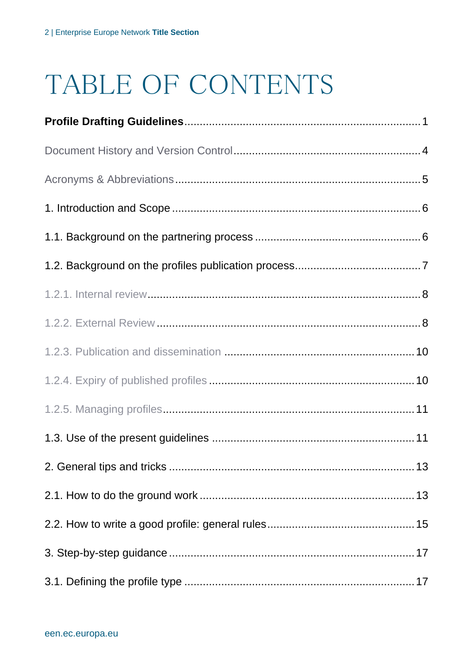# TABLE OF CONTENTS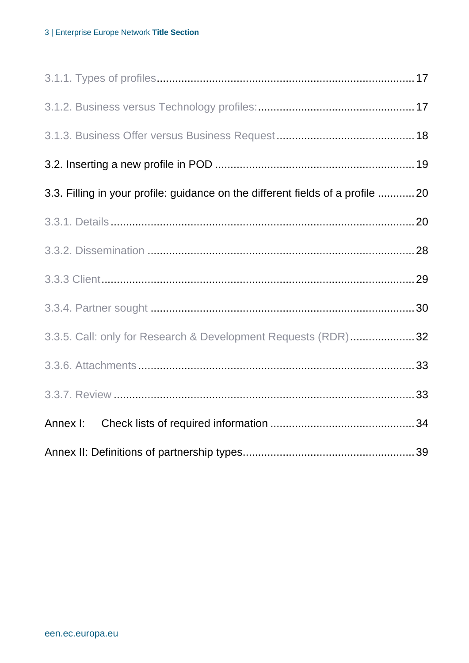| 3.3. Filling in your profile: guidance on the different fields of a profile  20 |  |
|---------------------------------------------------------------------------------|--|
|                                                                                 |  |
|                                                                                 |  |
|                                                                                 |  |
|                                                                                 |  |
| 3.3.5. Call: only for Research & Development Requests (RDR)32                   |  |
|                                                                                 |  |
|                                                                                 |  |
|                                                                                 |  |
|                                                                                 |  |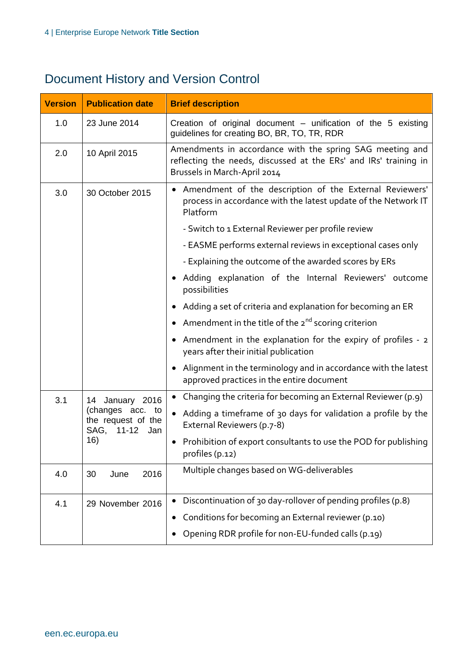## <span id="page-3-0"></span>Document History and Version Control

| <b>Version</b>    | <b>Publication date</b>                       | <b>Brief description</b>                                                                                                                                     |  |
|-------------------|-----------------------------------------------|--------------------------------------------------------------------------------------------------------------------------------------------------------------|--|
| 1.0               | 23 June 2014                                  | Creation of original document - unification of the 5 existing<br>guidelines for creating BO, BR, TO, TR, RDR                                                 |  |
| 2.0               | 10 April 2015                                 | Amendments in accordance with the spring SAG meeting and<br>reflecting the needs, discussed at the ERs' and IRs' training in<br>Brussels in March-April 2014 |  |
| 3.0               | 30 October 2015                               | • Amendment of the description of the External Reviewers'<br>process in accordance with the latest update of the Network IT<br>Platform                      |  |
|                   |                                               | - Switch to 1 External Reviewer per profile review                                                                                                           |  |
|                   |                                               | - EASME performs external reviews in exceptional cases only                                                                                                  |  |
|                   |                                               | - Explaining the outcome of the awarded scores by ERs                                                                                                        |  |
|                   |                                               | Adding explanation of the Internal Reviewers' outcome<br>$\bullet$<br>possibilities                                                                          |  |
|                   |                                               | Adding a set of criteria and explanation for becoming an ER<br>$\bullet$                                                                                     |  |
|                   |                                               | • Amendment in the title of the $2^{nd}$ scoring criterion                                                                                                   |  |
|                   |                                               | Amendment in the explanation for the expiry of profiles - 2<br>$\bullet$<br>years after their initial publication                                            |  |
|                   |                                               | Alignment in the terminology and in accordance with the latest<br>$\bullet$<br>approved practices in the entire document                                     |  |
| 3.1               | 14 January 2016                               | Changing the criteria for becoming an External Reviewer (p.9)<br>$\bullet$                                                                                   |  |
| SAG, 11-12<br>16) | (changes acc. to<br>the request of the<br>Jan | • Adding a timeframe of 30 days for validation a profile by the<br>External Reviewers (p.7-8)                                                                |  |
|                   |                                               | • Prohibition of export consultants to use the POD for publishing<br>profiles (p.12)                                                                         |  |
| 4.0               | 2016<br>30<br>June                            | Multiple changes based on WG-deliverables                                                                                                                    |  |
| 4.1               | 29 November 2016                              | Discontinuation of 30 day-rollover of pending profiles (p.8)                                                                                                 |  |
|                   |                                               | Conditions for becoming an External reviewer (p.10)                                                                                                          |  |
|                   |                                               | Opening RDR profile for non-EU-funded calls (p.19)                                                                                                           |  |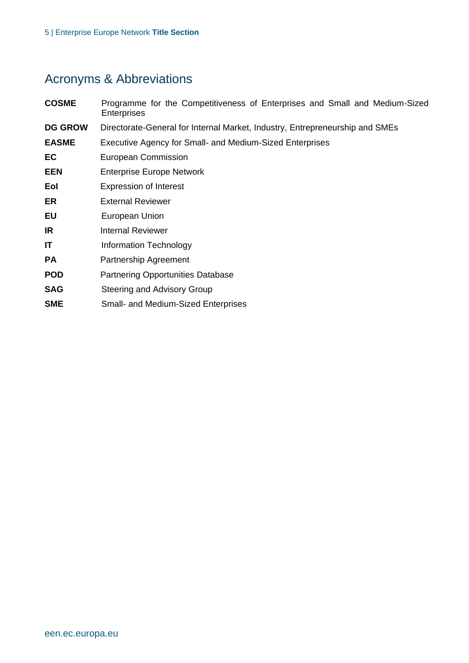## <span id="page-4-0"></span>Acronyms & Abbreviations

| <b>COSME</b>   | Programme for the Competitiveness of Enterprises and Small and Medium-Sized<br><b>Enterprises</b> |
|----------------|---------------------------------------------------------------------------------------------------|
| <b>DG GROW</b> | Directorate-General for Internal Market, Industry, Entrepreneurship and SMEs                      |
| <b>EASME</b>   | Executive Agency for Small- and Medium-Sized Enterprises                                          |
| EC             | European Commission                                                                               |
| <b>EEN</b>     | <b>Enterprise Europe Network</b>                                                                  |
| Eol            | <b>Expression of Interest</b>                                                                     |
| ER             | <b>External Reviewer</b>                                                                          |
| EU             | European Union                                                                                    |
| IR             | <b>Internal Reviewer</b>                                                                          |
| ΙT             | Information Technology                                                                            |
| <b>PA</b>      | Partnership Agreement                                                                             |
| <b>POD</b>     | <b>Partnering Opportunities Database</b>                                                          |
| <b>SAG</b>     | Steering and Advisory Group                                                                       |
| <b>SME</b>     | <b>Small- and Medium-Sized Enterprises</b>                                                        |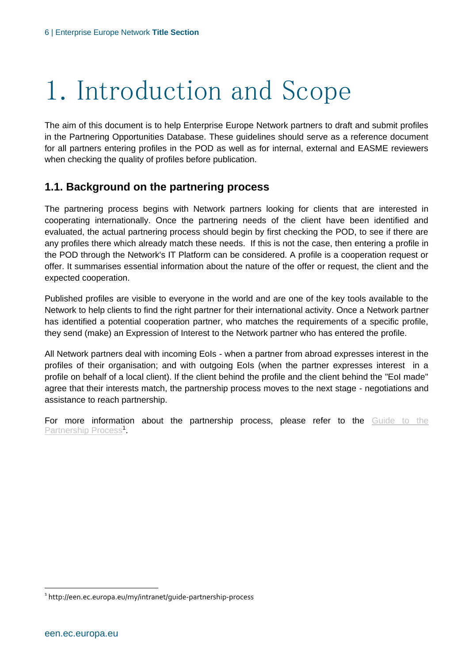# <span id="page-5-0"></span>1. Introduction and Scope

The aim of this document is to help Enterprise Europe Network partners to draft and submit profiles in the Partnering Opportunities Database. These guidelines should serve as a reference document for all partners entering profiles in the POD as well as for internal, external and EASME reviewers when checking the quality of profiles before publication.

#### <span id="page-5-1"></span>**1.1. Background on the partnering process**

The partnering process begins with Network partners looking for clients that are interested in cooperating internationally. Once the partnering needs of the client have been identified and evaluated, the actual partnering process should begin by first checking the POD, to see if there are any profiles there which already match these needs. If this is not the case, then entering a profile in the POD through the Network's IT Platform can be considered. A profile is a cooperation request or offer. It summarises essential information about the nature of the offer or request, the client and the expected cooperation.

Published profiles are visible to everyone in the world and are one of the key tools available to the Network to help clients to find the right partner for their international activity. Once a Network partner has identified a potential cooperation partner, who matches the requirements of a specific profile, they send (make) an Expression of Interest to the Network partner who has entered the profile.

All Network partners deal with incoming EoIs - when a partner from abroad expresses interest in the profiles of their organisation; and with outgoing EoIs (when the partner expresses interest in a profile on behalf of a local client). If the client behind the profile and the client behind the "EoI made" agree that their interests match, the partnership process moves to the next stage - negotiations and assistance to reach partnership.

For more information about the partnership process, please refer to the Guide to the [Partnership Process](http://een.ec.europa.eu/my/intranet/guide-partnership-process)<sup>1</sup>.

<sup>1</sup> http://een.ec.europa.eu/my/intranet/guide-partnership-process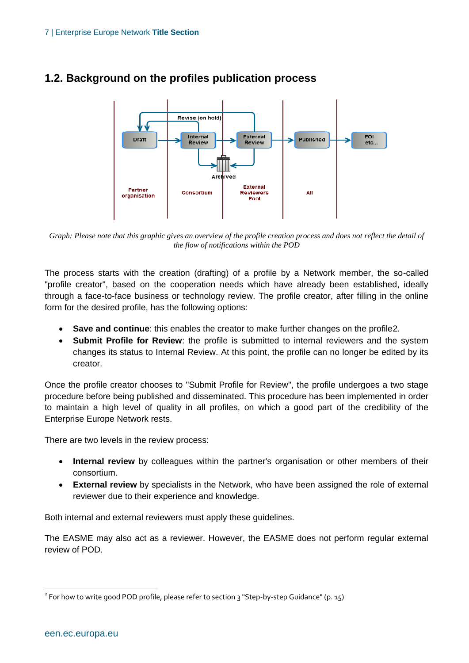

#### <span id="page-6-0"></span>**1.2. Background on the profiles publication process**

*Graph: Please note that this graphic gives an overview of the profile creation process and does not reflect the detail of the flow of notifications within the POD*

The process starts with the creation (drafting) of a profile by a Network member, the so-called "profile creator", based on the cooperation needs which have already been established, ideally through a face-to-face business or technology review. The profile creator, after filling in the online form for the desired profile, has the following options:

- **Save and continue**: this enables the creator to make further changes on the profile2.
- **Submit Profile for Review**: the profile is submitted to internal reviewers and the system changes its status to Internal Review. At this point, the profile can no longer be edited by its creator.

Once the profile creator chooses to "Submit Profile for Review", the profile undergoes a two stage procedure before being published and disseminated. This procedure has been implemented in order to maintain a high level of quality in all profiles, on which a good part of the credibility of the Enterprise Europe Network rests.

There are two levels in the review process:

- **Internal review** by colleagues within the partner's organisation or other members of their consortium.
- **External review** by specialists in the Network, who have been assigned the role of external reviewer due to their experience and knowledge.

Both internal and external reviewers must apply these guidelines.

The EASME may also act as a reviewer. However, the EASME does not perform regular external review of POD.

 $^{\text{2}}$  For how to write good POD profile, please refer to section 3 "Step-by-step Guidance" (p. 15)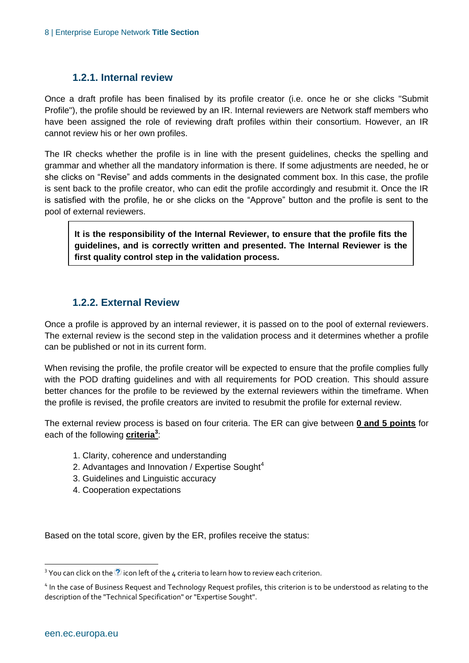#### **1.2.1. Internal review**

<span id="page-7-0"></span>Once a draft profile has been finalised by its profile creator (i.e. once he or she clicks "Submit Profile"), the profile should be reviewed by an IR. Internal reviewers are Network staff members who have been assigned the role of reviewing draft profiles within their consortium. However, an IR cannot review his or her own profiles.

The IR checks whether the profile is in line with the present guidelines, checks the spelling and grammar and whether all the mandatory information is there. If some adjustments are needed, he or she clicks on "Revise" and adds comments in the designated comment box. In this case, the profile is sent back to the profile creator, who can edit the profile accordingly and resubmit it. Once the IR is satisfied with the profile, he or she clicks on the "Approve" button and the profile is sent to the pool of external reviewers.

**It is the responsibility of the Internal Reviewer, to ensure that the profile fits the guidelines, and is correctly written and presented. The Internal Reviewer is the first quality control step in the validation process.**

#### **1.2.2. External Review**

<span id="page-7-1"></span>Once a profile is approved by an internal reviewer, it is passed on to the pool of external reviewers. The external review is the second step in the validation process and it determines whether a profile can be published or not in its current form.

When revising the profile, the profile creator will be expected to ensure that the profile complies fully with the POD drafting guidelines and with all requirements for POD creation. This should assure better chances for the profile to be reviewed by the external reviewers within the timeframe. When the profile is revised, the profile creators are invited to resubmit the profile for external review.

The external review process is based on four criteria. The ER can give between **0 and 5 points** for each of the following **criteria<sup>3</sup>** :

- 1. Clarity, coherence and understanding
- 2. Advantages and Innovation / Expertise Sought $4$
- 3. Guidelines and Linguistic accuracy
- 4. Cooperation expectations

Based on the total score, given by the ER, profiles receive the status:

 $^3$  You can click on the  $\overline{\mathcal{O}}$  icon left of the 4 criteria to learn how to review each criterion.

<sup>&</sup>lt;sup>4</sup> In the case of Business Request and Technology Request profiles, this criterion is to be understood as relating to the description of the "Technical Specification" or "Expertise Sought".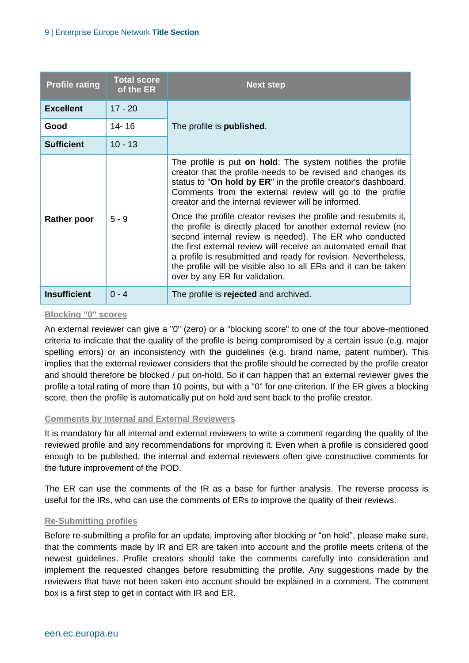| <b>Profile rating</b> | <b>Total score</b><br>of the ER | <b>Next step</b>                                                                                                                                                                                                                                                                                                                                                                                                                     |
|-----------------------|---------------------------------|--------------------------------------------------------------------------------------------------------------------------------------------------------------------------------------------------------------------------------------------------------------------------------------------------------------------------------------------------------------------------------------------------------------------------------------|
| <b>Excellent</b>      | $17 - 20$                       |                                                                                                                                                                                                                                                                                                                                                                                                                                      |
| Good                  | 14-16                           | The profile is <b>published</b> .                                                                                                                                                                                                                                                                                                                                                                                                    |
| <b>Sufficient</b>     | $10 - 13$                       |                                                                                                                                                                                                                                                                                                                                                                                                                                      |
|                       |                                 | The profile is put on hold: The system notifies the profile<br>creator that the profile needs to be revised and changes its<br>status to "On hold by ER" in the profile creator's dashboard.<br>Comments from the external review will go to the profile<br>creator and the internal reviewer will be informed.                                                                                                                      |
| <b>Rather poor</b>    | $5 - 9$                         | Once the profile creator revises the profile and resubmits it,<br>the profile is directly placed for another external review (no<br>second internal review is needed). The ER who conducted<br>the first external review will receive an automated email that<br>a profile is resubmitted and ready for revision. Nevertheless,<br>the profile will be visible also to all ERs and it can be taken<br>over by any ER for validation. |
| <b>Insufficient</b>   | $0 - 4$                         | The profile is rejected and archived.                                                                                                                                                                                                                                                                                                                                                                                                |

#### **Blocking "0" scores**

An external reviewer can give a "0" (zero) or a "blocking score" to one of the four above-mentioned criteria to indicate that the quality of the profile is being compromised by a certain issue (e.g. major spelling errors) or an inconsistency with the guidelines (e.g. brand name, patent number). This implies that the external reviewer considers that the profile should be corrected by the profile creator and should therefore be blocked / put on-hold. So it can happen that an external reviewer gives the profile a total rating of more than 10 points, but with a "0" for one criterion. If the ER gives a blocking score, then the profile is automatically put on hold and sent back to the profile creator.

#### **Comments by Internal and External Reviewers**

It is mandatory for all internal and external reviewers to write a comment regarding the quality of the reviewed profile and any recommendations for improving it. Even when a profile is considered good enough to be published, the internal and external reviewers often give constructive comments for the future improvement of the POD.

The ER can use the comments of the IR as a base for further analysis. The reverse process is useful for the IRs, who can use the comments of ERs to improve the quality of their reviews.

#### **Re-Submitting profiles**

Before re-submitting a profile for an update, improving after blocking or "on hold", please make sure, that the comments made by IR and ER are taken into account and the profile meets criteria of the newest guidelines. Profile creators should take the comments carefully into consideration and implement the requested changes before resubmitting the profile. Any suggestions made by the reviewers that have not been taken into account should be explained in a comment. The comment box is a first step to get in contact with IR and ER.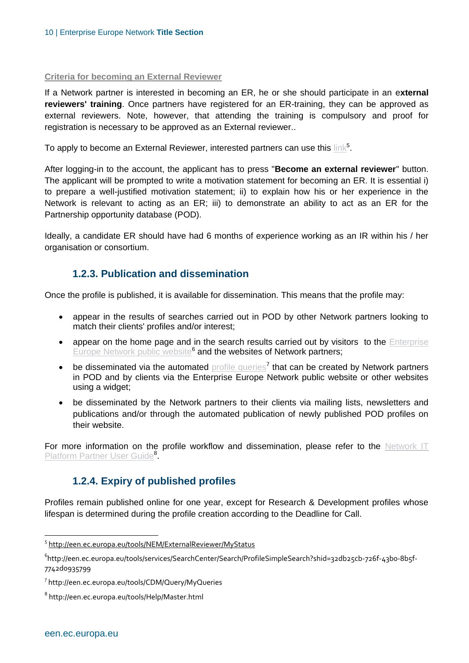#### **Criteria for becoming an External Reviewer**

If a Network partner is interested in becoming an ER, he or she should participate in an e**xternal reviewers' training**. Once partners have registered for an ER-training, they can be approved as external reviewers. Note, however, that attending the training is compulsory and proof for registration is necessary to be approved as an External reviewer..

To apply to become an External Reviewer, interested partners can use this  $\underline{\text{link}}^5$  $\underline{\text{link}}^5$  $\underline{\text{link}}^5$ .

After logging-in to the account, the applicant has to press "**Become an external reviewer**" button. The applicant will be prompted to write a motivation statement for becoming an ER. It is essential i) to prepare a well-justified motivation statement; ii) to explain how his or her experience in the Network is relevant to acting as an ER; iii) to demonstrate an ability to act as an ER for the Partnership opportunity database (POD).

Ideally, a candidate ER should have had 6 months of experience working as an IR within his / her organisation or consortium.

#### **1.2.3. Publication and dissemination**

<span id="page-9-0"></span>Once the profile is published, it is available for dissemination. This means that the profile may:

- appear in the results of searches carried out in POD by other Network partners looking to match their clients' profiles and/or interest;
- appear on the home page and in the search results carried out by visitors to the Enterprise [Europe Network public website](http://een.ec.europa.eu/tools/services/SearchCenter/Search/ProfileSimpleSearch?shid=32db25cb-726f-43b0-8b5f-7742d0935799)<sup>6</sup> and the websites of Network partners;
- $\bullet$  be disseminated via the automated [profile queries](http://een.ec.europa.eu/tools/CDM/Query/MyQueries)<sup>7</sup> that can be created by Network partners in POD and by clients via the Enterprise Europe Network public website or other websites using a widget;
- be disseminated by the Network partners to their clients via mailing lists, newsletters and publications and/or through the automated publication of newly published POD profiles on their website.

<span id="page-9-1"></span>For more information on the profile workflow and dissemination, please refer to the Network IT [Platform Partner User Guide](http://een.ec.europa.eu/tools/Help/Master.html)<sup>8</sup>.

#### **1.2.4. Expiry of published profiles**

Profiles remain published online for one year, except for Research & Development profiles whose lifespan is determined during the profile creation according to the Deadline for Call.

 $\overline{a}$ 

<sup>&</sup>lt;sup>5</sup> <http://een.ec.europa.eu/tools/NEM/ExternalReviewer/MyStatus>

<sup>6</sup> http://een.ec.europa.eu/tools/services/SearchCenter/Search/ProfileSimpleSearch?shid=32db25cb-726f-43b0-8b5f-7742d0935799

<sup>7</sup> http://een.ec.europa.eu/tools/CDM/Query/MyQueries

 $^{\rm 8}$  http://een.ec.europa.eu/tools/Help/Master.html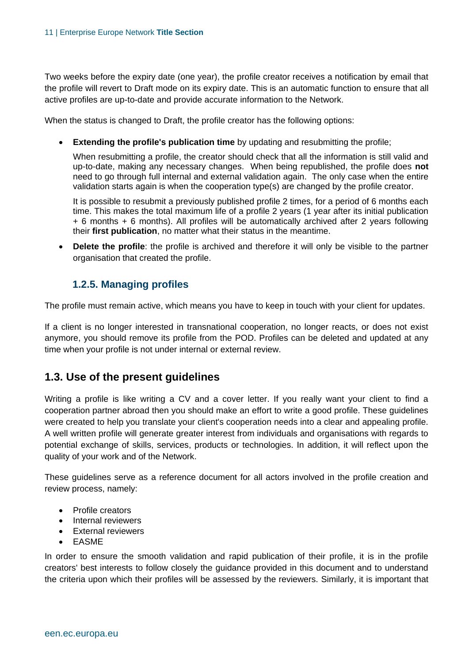Two weeks before the expiry date (one year), the profile creator receives a notification by email that the profile will revert to Draft mode on its expiry date. This is an automatic function to ensure that all active profiles are up-to-date and provide accurate information to the Network.

When the status is changed to Draft, the profile creator has the following options:

**Extending the profile's publication time** by updating and resubmitting the profile;

When resubmitting a profile, the creator should check that all the information is still valid and up-to-date, making any necessary changes. When being republished, the profile does **not** need to go through full internal and external validation again. The only case when the entire validation starts again is when the cooperation type(s) are changed by the profile creator.

It is possible to resubmit a previously published profile 2 times, for a period of 6 months each time. This makes the total maximum life of a profile 2 years (1 year after its initial publication + 6 months + 6 months). All profiles will be automatically archived after 2 years following their **first publication**, no matter what their status in the meantime.

 **Delete the profile**: the profile is archived and therefore it will only be visible to the partner organisation that created the profile.

#### **1.2.5. Managing profiles**

<span id="page-10-0"></span>The profile must remain active, which means you have to keep in touch with your client for updates.

If a client is no longer interested in transnational cooperation, no longer reacts, or does not exist anymore, you should remove its profile from the POD. Profiles can be deleted and updated at any time when your profile is not under internal or external review.

#### <span id="page-10-1"></span>**1.3. Use of the present guidelines**

Writing a profile is like writing a CV and a cover letter. If you really want your client to find a cooperation partner abroad then you should make an effort to write a good profile. These guidelines were created to help you translate your client's cooperation needs into a clear and appealing profile. A well written profile will generate greater interest from individuals and organisations with regards to potential exchange of skills, services, products or technologies. In addition, it will reflect upon the quality of your work and of the Network.

These guidelines serve as a reference document for all actors involved in the profile creation and review process, namely:

- Profile creators
- Internal reviewers
- **•** External reviewers
- EASME

In order to ensure the smooth validation and rapid publication of their profile, it is in the profile creators' best interests to follow closely the guidance provided in this document and to understand the criteria upon which their profiles will be assessed by the reviewers. Similarly, it is important that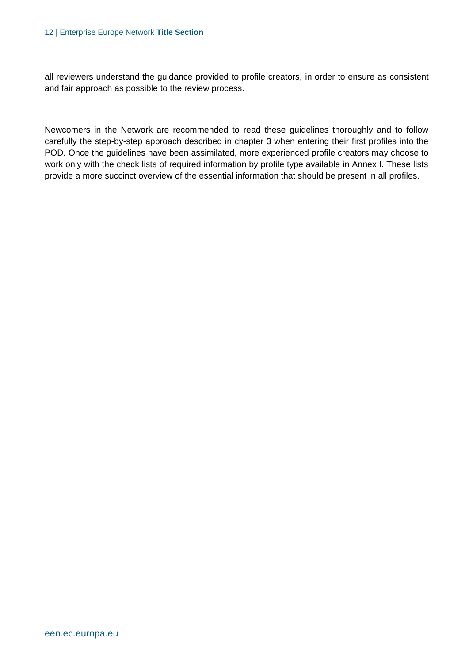#### 12 | Enterprise Europe Network **Title Section**

all reviewers understand the guidance provided to profile creators, in order to ensure as consistent and fair approach as possible to the review process.

Newcomers in the Network are recommended to read these guidelines thoroughly and to follow carefully the step-by-step approach described in chapter 3 when entering their first profiles into the POD. Once the guidelines have been assimilated, more experienced profile creators may choose to work only with the check lists of required information by profile type available in Annex I. These lists provide a more succinct overview of the essential information that should be present in all profiles.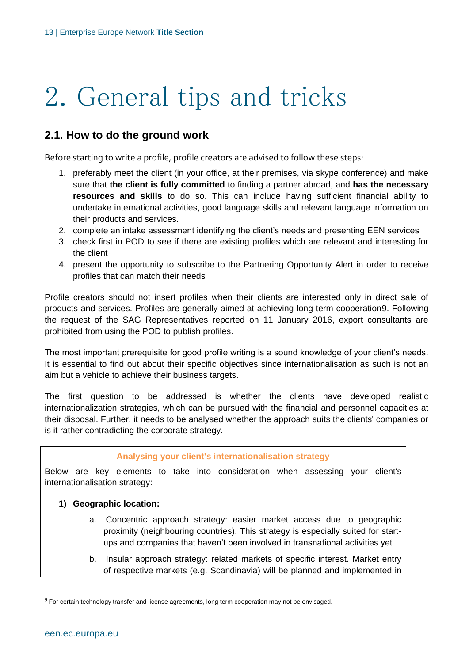# <span id="page-12-0"></span>2. General tips and tricks

#### <span id="page-12-1"></span>**2.1. How to do the ground work**

Before starting to write a profile, profile creators are advised to follow these steps:

- 1. preferably meet the client (in your office, at their premises, via skype conference) and make sure that **the client is fully committed** to finding a partner abroad, and **has the necessary resources and skills** to do so. This can include having sufficient financial ability to undertake international activities, good language skills and relevant language information on their products and services.
- 2. complete an intake assessment identifying the client's needs and presenting EEN services
- 3. check first in POD to see if there are existing profiles which are relevant and interesting for the client
- 4. present the opportunity to subscribe to the Partnering Opportunity Alert in order to receive profiles that can match their needs

Profile creators should not insert profiles when their clients are interested only in direct sale of products and services. Profiles are generally aimed at achieving long term cooperation9. Following the request of the SAG Representatives reported on 11 January 2016, export consultants are prohibited from using the POD to publish profiles.

The most important prerequisite for good profile writing is a sound knowledge of your client's needs. It is essential to find out about their specific objectives since internationalisation as such is not an aim but a vehicle to achieve their business targets.

The first question to be addressed is whether the clients have developed realistic internationalization strategies, which can be pursued with the financial and personnel capacities at their disposal. Further, it needs to be analysed whether the approach suits the clients' companies or is it rather contradicting the corporate strategy.

#### **Analysing your client's internationalisation strategy**

Below are key elements to take into consideration when assessing your client's internationalisation strategy:

#### **1) Geographic location:**

- a. Concentric approach strategy: easier market access due to geographic proximity (neighbouring countries). This strategy is especially suited for startups and companies that haven't been involved in transnational activities yet.
- b. Insular approach strategy: related markets of specific interest. Market entry of respective markets (e.g. Scandinavia) will be planned and implemented in

 $^9$  For certain technology transfer and license agreements, long term cooperation may not be envisaged.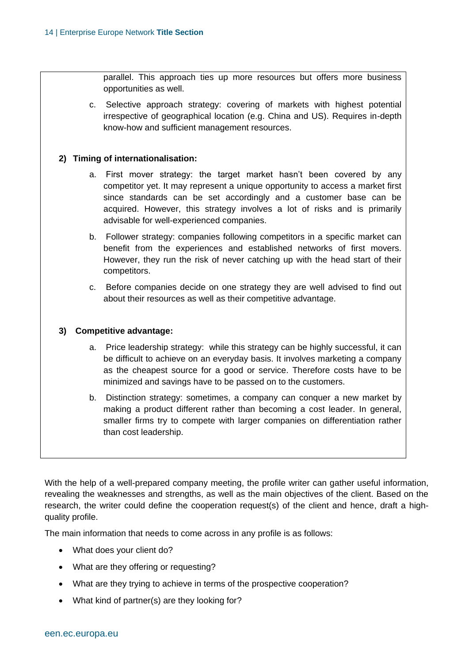parallel. This approach ties up more resources but offers more business opportunities as well.

c. Selective approach strategy: covering of markets with highest potential irrespective of geographical location (e.g. China and US). Requires in-depth know-how and sufficient management resources.

#### **2) Timing of internationalisation:**

- a. First mover strategy: the target market hasn't been covered by any competitor yet. It may represent a unique opportunity to access a market first since standards can be set accordingly and a customer base can be acquired. However, this strategy involves a lot of risks and is primarily advisable for well-experienced companies.
- b. Follower strategy: companies following competitors in a specific market can benefit from the experiences and established networks of first movers. However, they run the risk of never catching up with the head start of their competitors.
- c. Before companies decide on one strategy they are well advised to find out about their resources as well as their competitive advantage.

#### **3) Competitive advantage:**

- a. Price leadership strategy: while this strategy can be highly successful, it can be difficult to achieve on an everyday basis. It involves marketing a company as the cheapest source for a good or service. Therefore costs have to be minimized and savings have to be passed on to the customers.
- b. Distinction strategy: sometimes, a company can conquer a new market by making a product different rather than becoming a cost leader. In general, smaller firms try to compete with larger companies on differentiation rather than cost leadership.

With the help of a well-prepared company meeting, the profile writer can gather useful information, revealing the weaknesses and strengths, as well as the main objectives of the client. Based on the research, the writer could define the cooperation request(s) of the client and hence, draft a highquality profile.

The main information that needs to come across in any profile is as follows:

- What does your client do?
- What are they offering or requesting?
- What are they trying to achieve in terms of the prospective cooperation?
- What kind of partner(s) are they looking for?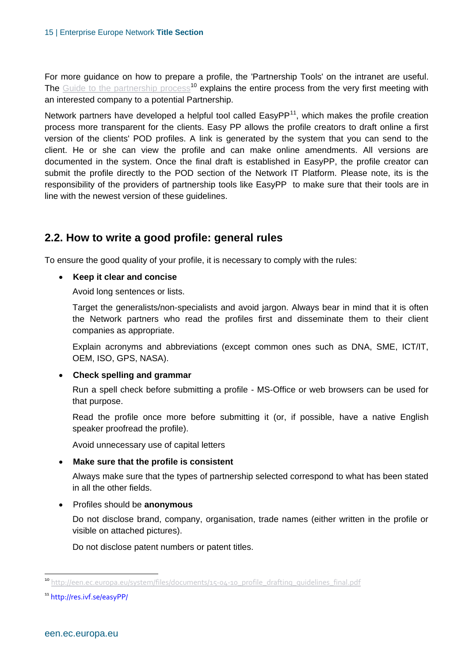For more guidance on how to prepare a profile, the 'Partnership Tools' on the intranet are useful. The [Guide to the partnership process](http://een.ec.europa.eu/system/files/documents/15-04-10_profile_drafting_guidelines_final.pdf)<sup>10</sup> explains the entire process from the very first meeting with an interested company to a potential Partnership.

Network partners have developed a helpful tool called EasyPP $<sup>11</sup>$ , which makes the profile creation</sup> process more transparent for the clients. Easy PP allows the profile creators to draft online a first version of the clients' POD profiles. A link is generated by the system that you can send to the client. He or she can view the profile and can make online amendments. All versions are documented in the system. Once the final draft is established in EasyPP, the profile creator can submit the profile directly to the POD section of the Network IT Platform. Please note, its is the responsibility of the providers of partnership tools like EasyPP to make sure that their tools are in line with the newest version of these guidelines.

#### <span id="page-14-0"></span>**2.2. How to write a good profile: general rules**

To ensure the good quality of your profile, it is necessary to comply with the rules:

#### **Keep it clear and concise**

Avoid long sentences or lists.

Target the generalists/non-specialists and avoid jargon. Always bear in mind that it is often the Network partners who read the profiles first and disseminate them to their client companies as appropriate.

Explain acronyms and abbreviations (except common ones such as DNA, SME, ICT/IT, OEM, ISO, GPS, NASA).

#### **Check spelling and grammar**

Run a spell check before submitting a profile - MS-Office or web browsers can be used for that purpose.

Read the profile once more before submitting it (or, if possible, have a native English speaker proofread the profile).

Avoid unnecessary use of capital letters

#### **Make sure that the profile is consistent**

Always make sure that the types of partnership selected correspond to what has been stated in all the other fields.

#### Profiles should be **anonymous**

Do not disclose brand, company, organisation, trade names (either written in the profile or visible on attached pictures).

Do not disclose patent numbers or patent titles.

<sup>&</sup>lt;sup>10</sup> [http://een.ec.europa.eu/system/files/documents/15-04-10\\_profile\\_drafting\\_guidelines\\_final.pdf](http://een.ec.europa.eu/system/files/documents/15-04-10_profile_drafting_guidelines_final.pdf)

<sup>11</sup> http://res.ivf.se/easyPP/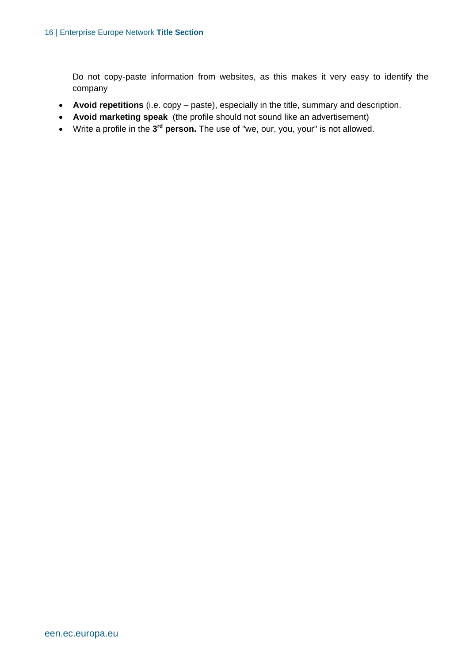Do not copy-paste information from websites, as this makes it very easy to identify the company

- **Avoid repetitions** (i.e. copy paste), especially in the title, summary and description.
- **Avoid marketing speak** (the profile should not sound like an advertisement)
- Write a profile in the 3<sup>rd</sup> person. The use of "we, our, you, your" is not allowed.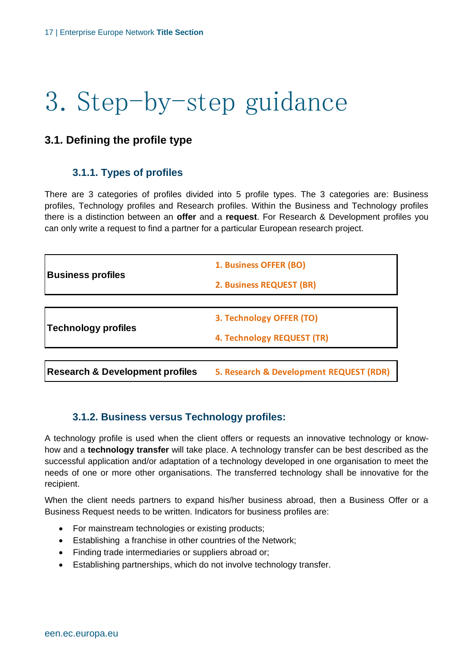# <span id="page-16-0"></span>3. Step-by-step guidance

#### <span id="page-16-2"></span><span id="page-16-1"></span>**3.1. Defining the profile type**

#### **3.1.1. Types of profiles**

There are 3 categories of profiles divided into 5 profile types. The 3 categories are: Business profiles, Technology profiles and Research profiles. Within the Business and Technology profiles there is a distinction between an **offer** and a **request**. For Research & Development profiles you can only write a request to find a partner for a particular European research project.

|                                            | 1. Business OFFER (BO)                  |
|--------------------------------------------|-----------------------------------------|
| <b>Business profiles</b>                   | <b>2. Business REQUEST (BR)</b>         |
|                                            |                                         |
|                                            | 3. Technology OFFER (TO)                |
| <b>Technology profiles</b>                 | 4. Technology REQUEST (TR)              |
|                                            |                                         |
| <b>Research &amp; Development profiles</b> | 5. Research & Development REQUEST (RDR) |

#### <span id="page-16-3"></span>**3.1.2. Business versus Technology profiles:**

A technology profile is used when the client offers or requests an innovative technology or knowhow and a **technology transfer** will take place. A technology transfer can be best described as the successful application and/or adaptation of a technology developed in one organisation to meet the needs of one or more other organisations. The transferred technology shall be innovative for the recipient.

When the client needs partners to expand his/her business abroad, then a Business Offer or a Business Request needs to be written. Indicators for business profiles are:

- For mainstream technologies or existing products;
- Establishing a franchise in other countries of the Network;
- Finding trade intermediaries or suppliers abroad or;
- Establishing partnerships, which do not involve technology transfer.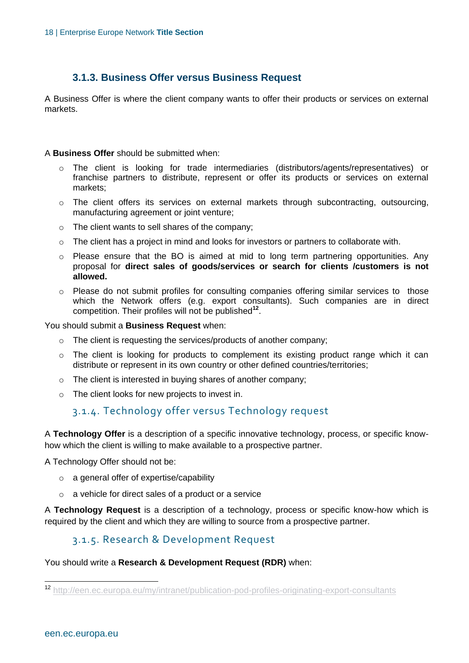#### **3.1.3. Business Offer versus Business Request**

<span id="page-17-0"></span>A Business Offer is where the client company wants to offer their products or services on external markets.

#### A **Business Offer** should be submitted when:

- o The client is looking for trade intermediaries (distributors/agents/representatives) or franchise partners to distribute, represent or offer its products or services on external markets;
- o The client offers its services on external markets through subcontracting, outsourcing, manufacturing agreement or joint venture;
- $\circ$  The client wants to sell shares of the company;
- $\circ$  The client has a project in mind and looks for investors or partners to collaborate with.
- o Please ensure that the BO is aimed at mid to long term partnering opportunities. Any proposal for **direct sales of goods/services or search for clients /customers is not allowed.**
- $\circ$  Please do not submit profiles for consulting companies offering similar services to those which the Network offers (e.g. export consultants). Such companies are in direct competition. Their profiles will not be published**<sup>12</sup>** .

You should submit a **Business Request** when:

- o The client is requesting the services/products of another company;
- o The client is looking for products to complement its existing product range which it can distribute or represent in its own country or other defined countries/territories;
- o The client is interested in buying shares of another company;
- o The client looks for new projects to invest in.

#### 3.1.4. Technology offer versus Technology request

A **Technology Offer** is a description of a specific innovative technology, process, or specific knowhow which the client is willing to make available to a prospective partner.

A Technology Offer should not be:

- o a general offer of expertise/capability
- o a vehicle for direct sales of a product or a service

A **Technology Request** is a description of a technology, process or specific know-how which is required by the client and which they are willing to source from a prospective partner.

#### 3.1.5. Research & Development Request

You should write a **Research & Development Request (RDR)** when:

 $\overline{a}$ 

<sup>12</sup> <http://een.ec.europa.eu/my/intranet/publication-pod-profiles-originating-export-consultants>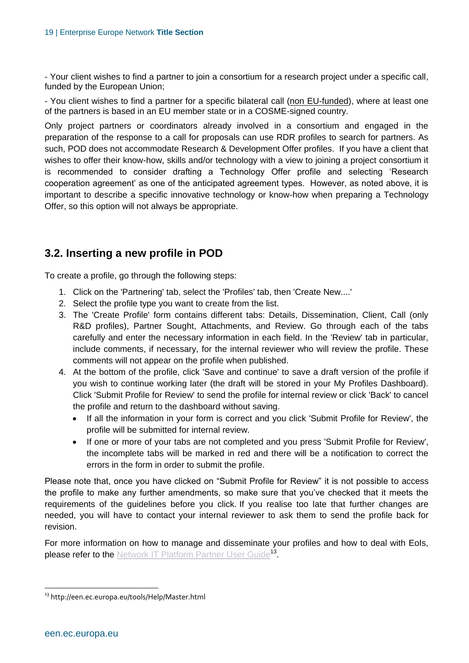- Your client wishes to find a partner to join a consortium for a research project under a specific call, funded by the European Union;

- You client wishes to find a partner for a specific bilateral call (non EU-funded), where at least one of the partners is based in an EU member state or in a COSME-signed country.

Only project partners or coordinators already involved in a consortium and engaged in the preparation of the response to a call for proposals can use RDR profiles to search for partners. As such, POD does not accommodate Research & Development Offer profiles. If you have a client that wishes to offer their know-how, skills and/or technology with a view to joining a project consortium it is recommended to consider drafting a Technology Offer profile and selecting 'Research cooperation agreement' as one of the anticipated agreement types. However, as noted above, it is important to describe a specific innovative technology or know-how when preparing a Technology Offer, so this option will not always be appropriate.

#### <span id="page-18-0"></span>**3.2. Inserting a new profile in POD**

To create a profile, go through the following steps:

- 1. Click on the 'Partnering' tab, select the 'Profiles' tab, then 'Create New....'
- 2. Select the profile type you want to create from the list.
- 3. The 'Create Profile' form contains different tabs: Details, Dissemination, Client, Call (only R&D profiles), Partner Sought, Attachments, and Review. Go through each of the tabs carefully and enter the necessary information in each field. In the 'Review' tab in particular, include comments, if necessary, for the internal reviewer who will review the profile. These comments will not appear on the profile when published.
- 4. At the bottom of the profile, click 'Save and continue' to save a draft version of the profile if you wish to continue working later (the draft will be stored in your My Profiles Dashboard). Click 'Submit Profile for Review' to send the profile for internal review or click 'Back' to cancel the profile and return to the dashboard without saving.
	- If all the information in your form is correct and you click 'Submit Profile for Review', the profile will be submitted for internal review.
	- If one or more of your tabs are not completed and you press 'Submit Profile for Review', the incomplete tabs will be marked in red and there will be a notification to correct the errors in the form in order to submit the profile.

Please note that, once you have clicked on "Submit Profile for Review" it is not possible to access the profile to make any further amendments, so make sure that you've checked that it meets the requirements of the guidelines before you click. If you realise too late that further changes are needed, you will have to contact your internal reviewer to ask them to send the profile back for revision.

For more information on how to manage and disseminate your profiles and how to deal with EoIs, please refer to the [Network IT Platform Partner User Guide](http://een.ec.europa.eu/tools/Help/Master.html)<sup>13</sup>.

<sup>&</sup>lt;sup>13</sup> http://een.ec.europa.eu/tools/Help/Master.html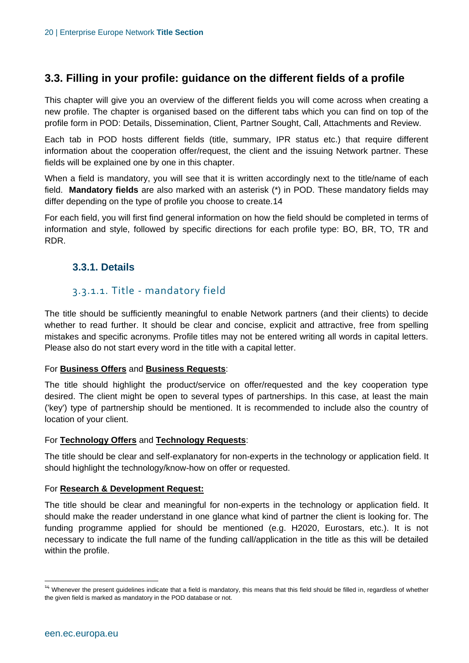#### <span id="page-19-0"></span>**3.3. Filling in your profile: guidance on the different fields of a profile**

This chapter will give you an overview of the different fields you will come across when creating a new profile. The chapter is organised based on the different tabs which you can find on top of the profile form in POD: Details, Dissemination, Client, Partner Sought, Call, Attachments and Review.

Each tab in POD hosts different fields (title, summary, IPR status etc.) that require different information about the cooperation offer/request, the client and the issuing Network partner. These fields will be explained one by one in this chapter.

When a field is mandatory, you will see that it is written accordingly next to the title/name of each field. **Mandatory fields** are also marked with an asterisk (\*) in POD. These mandatory fields may differ depending on the type of profile you choose to create.14

For each field, you will first find general information on how the field should be completed in terms of information and style, followed by specific directions for each profile type: BO, BR, TO, TR and RDR.

#### <span id="page-19-1"></span>**3.3.1. Details**

#### 3.3.1.1. Title - mandatory field

The title should be sufficiently meaningful to enable Network partners (and their clients) to decide whether to read further. It should be clear and concise, explicit and attractive, free from spelling mistakes and specific acronyms. Profile titles may not be entered writing all words in capital letters. Please also do not start every word in the title with a capital letter.

#### For **Business Offers** and **Business Requests**:

The title should highlight the product/service on offer/requested and the key cooperation type desired. The client might be open to several types of partnerships. In this case, at least the main ('key') type of partnership should be mentioned. It is recommended to include also the country of location of your client.

#### For **Technology Offers** and **Technology Requests**:

The title should be clear and self-explanatory for non-experts in the technology or application field. It should highlight the technology/know-how on offer or requested.

#### For **Research & Development Request:**

The title should be clear and meaningful for non-experts in the technology or application field. It should make the reader understand in one glance what kind of partner the client is looking for. The funding programme applied for should be mentioned (e.g. H2020, Eurostars, etc.). It is not necessary to indicate the full name of the funding call/application in the title as this will be detailed within the profile.

<sup>&</sup>lt;sup>14</sup> Whenever the present guidelines indicate that a field is mandatory, this means that this field should be filled in, regardless of whether the given field is marked as mandatory in the POD database or not.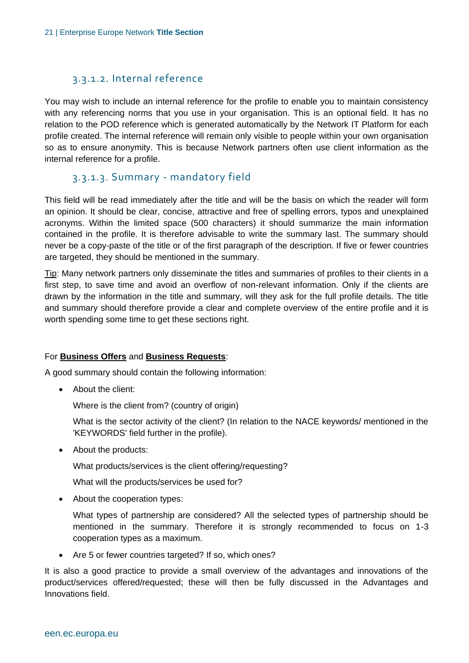#### 3.3.1.2. Internal reference

You may wish to include an internal reference for the profile to enable you to maintain consistency with any referencing norms that you use in your organisation. This is an optional field. It has no relation to the POD reference which is generated automatically by the Network IT Platform for each profile created. The internal reference will remain only visible to people within your own organisation so as to ensure anonymity. This is because Network partners often use client information as the internal reference for a profile.

#### 3.3.1.3. Summary - mandatory field

This field will be read immediately after the title and will be the basis on which the reader will form an opinion. It should be clear, concise, attractive and free of spelling errors, typos and unexplained acronyms. Within the limited space (500 characters) it should summarize the main information contained in the profile. It is therefore advisable to write the summary last. The summary should never be a copy-paste of the title or of the first paragraph of the description. If five or fewer countries are targeted, they should be mentioned in the summary.

Tip: Many network partners only disseminate the titles and summaries of profiles to their clients in a first step, to save time and avoid an overflow of non-relevant information. Only if the clients are drawn by the information in the title and summary, will they ask for the full profile details. The title and summary should therefore provide a clear and complete overview of the entire profile and it is worth spending some time to get these sections right.

#### For **Business Offers** and **Business Requests**:

A good summary should contain the following information:

• About the client:

Where is the client from? (country of origin)

- What is the sector activity of the client? (In relation to the NACE keywords/ mentioned in the 'KEYWORDS' field further in the profile).
- About the products:

What products/services is the client offering/requesting?

What will the products/services be used for?

• About the cooperation types:

What types of partnership are considered? All the selected types of partnership should be mentioned in the summary. Therefore it is strongly recommended to focus on 1-3 cooperation types as a maximum.

Are 5 or fewer countries targeted? If so, which ones?

It is also a good practice to provide a small overview of the advantages and innovations of the product/services offered/requested; these will then be fully discussed in the Advantages and Innovations field.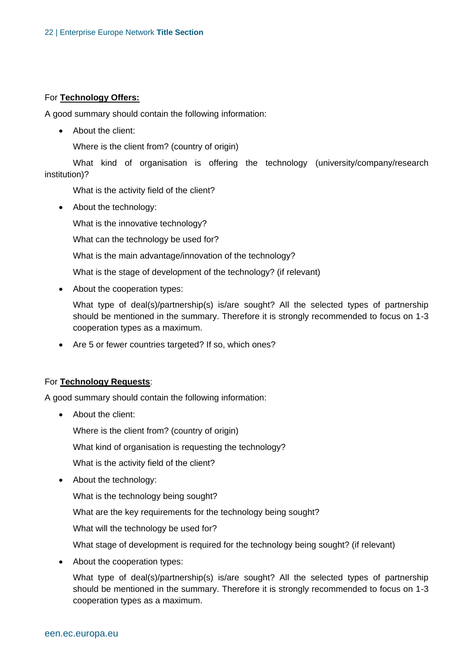#### For **Technology Offers:**

A good summary should contain the following information:

• About the client:

Where is the client from? (country of origin)

What kind of organisation is offering the technology (university/company/research institution)?

What is the activity field of the client?

• About the technology:

What is the innovative technology?

What can the technology be used for?

What is the main advantage/innovation of the technology?

What is the stage of development of the technology? (if relevant)

• About the cooperation types:

What type of deal(s)/partnership(s) is/are sought? All the selected types of partnership should be mentioned in the summary. Therefore it is strongly recommended to focus on 1-3 cooperation types as a maximum.

Are 5 or fewer countries targeted? If so, which ones?

#### For **Technology Requests**:

A good summary should contain the following information:

• About the client:

Where is the client from? (country of origin)

What kind of organisation is requesting the technology?

What is the activity field of the client?

About the technology:

What is the technology being sought?

What are the key requirements for the technology being sought?

What will the technology be used for?

What stage of development is required for the technology being sought? (if relevant)

• About the cooperation types:

What type of deal(s)/partnership(s) is/are sought? All the selected types of partnership should be mentioned in the summary. Therefore it is strongly recommended to focus on 1-3 cooperation types as a maximum.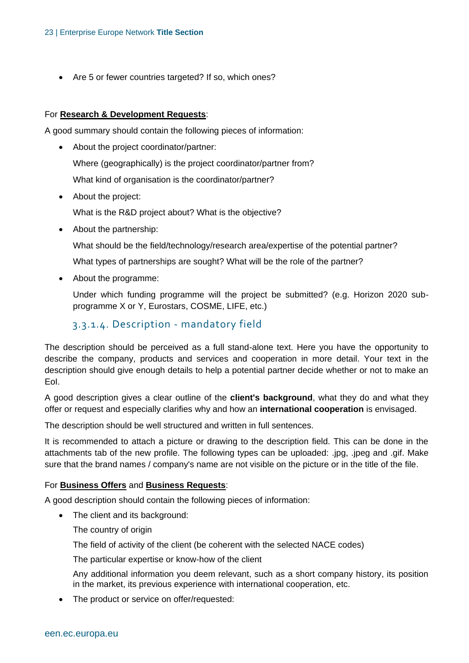Are 5 or fewer countries targeted? If so, which ones?

#### For **Research & Development Requests**:

A good summary should contain the following pieces of information:

- About the project coordinator/partner: Where (geographically) is the project coordinator/partner from? What kind of organisation is the coordinator/partner?
- About the project:

What is the R&D project about? What is the objective?

• About the partnership:

What should be the field/technology/research area/expertise of the potential partner?

What types of partnerships are sought? What will be the role of the partner?

About the programme:

Under which funding programme will the project be submitted? (e.g. Horizon 2020 subprogramme X or Y, Eurostars, COSME, LIFE, etc.)

#### 3.3.1.4. Description - mandatory field

The description should be perceived as a full stand-alone text. Here you have the opportunity to describe the company, products and services and cooperation in more detail. Your text in the description should give enough details to help a potential partner decide whether or not to make an EoI.

A good description gives a clear outline of the **client's background**, what they do and what they offer or request and especially clarifies why and how an **international cooperation** is envisaged.

The description should be well structured and written in full sentences.

It is recommended to attach a picture or drawing to the description field. This can be done in the attachments tab of the new profile. The following types can be uploaded: .jpg, .jpeg and .gif. Make sure that the brand names / company's name are not visible on the picture or in the title of the file.

#### For **Business Offers** and **Business Requests**:

A good description should contain the following pieces of information:

- The client and its background:
	- The country of origin

The field of activity of the client (be coherent with the selected NACE codes)

The particular expertise or know-how of the client

Any additional information you deem relevant, such as a short company history, its position in the market, its previous experience with international cooperation, etc.

The product or service on offer/requested: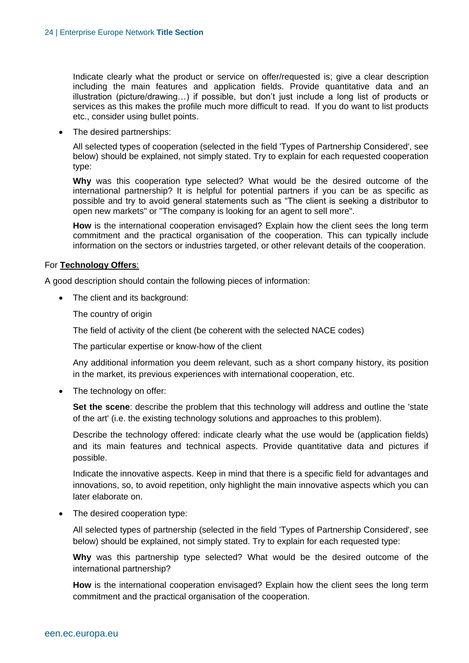Indicate clearly what the product or service on offer/requested is; give a clear description including the main features and application fields. Provide quantitative data and an illustration (picture/drawing…) if possible, but don't just include a long list of products or services as this makes the profile much more difficult to read. If you do want to list products etc., consider using bullet points.

• The desired partnerships:

All selected types of cooperation (selected in the field 'Types of Partnership Considered', see below) should be explained, not simply stated. Try to explain for each requested cooperation type:

**Why** was this cooperation type selected? What would be the desired outcome of the international partnership? It is helpful for potential partners if you can be as specific as possible and try to avoid general statements such as "The client is seeking a distributor to open new markets" or "The company is looking for an agent to sell more".

**How** is the international cooperation envisaged? Explain how the client sees the long term commitment and the practical organisation of the cooperation. This can typically include information on the sectors or industries targeted, or other relevant details of the cooperation.

#### For **Technology Offers**:

A good description should contain the following pieces of information:

The client and its background:

The country of origin

The field of activity of the client (be coherent with the selected NACE codes)

The particular expertise or know-how of the client

Any additional information you deem relevant, such as a short company history, its position in the market, its previous experiences with international cooperation, etc.

• The technology on offer:

**Set the scene**: describe the problem that this technology will address and outline the 'state of the art' (i.e. the existing technology solutions and approaches to this problem).

Describe the technology offered: indicate clearly what the use would be (application fields) and its main features and technical aspects. Provide quantitative data and pictures if possible.

Indicate the innovative aspects. Keep in mind that there is a specific field for advantages and innovations, so, to avoid repetition, only highlight the main innovative aspects which you can later elaborate on.

• The desired cooperation type:

All selected types of partnership (selected in the field 'Types of Partnership Considered', see below) should be explained, not simply stated. Try to explain for each requested type:

**Why** was this partnership type selected? What would be the desired outcome of the international partnership?

**How** is the international cooperation envisaged? Explain how the client sees the long term commitment and the practical organisation of the cooperation.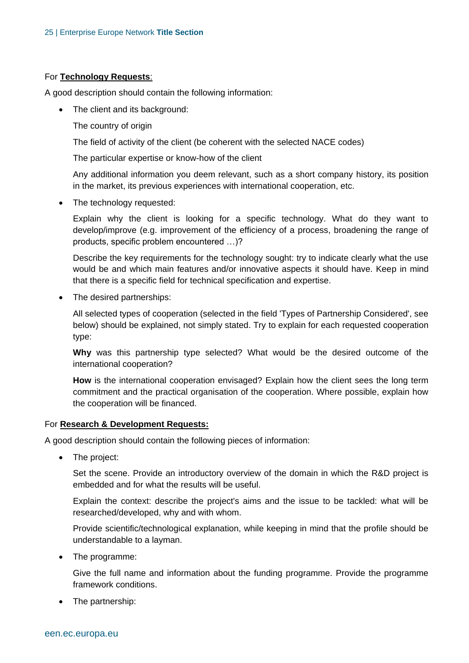#### For **Technology Requests**:

A good description should contain the following information:

- The client and its background:
	- The country of origin

The field of activity of the client (be coherent with the selected NACE codes)

The particular expertise or know-how of the client

Any additional information you deem relevant, such as a short company history, its position in the market, its previous experiences with international cooperation, etc.

• The technology requested:

Explain why the client is looking for a specific technology. What do they want to develop/improve (e.g. improvement of the efficiency of a process, broadening the range of products, specific problem encountered …)?

Describe the key requirements for the technology sought: try to indicate clearly what the use would be and which main features and/or innovative aspects it should have. Keep in mind that there is a specific field for technical specification and expertise.

• The desired partnerships:

All selected types of cooperation (selected in the field 'Types of Partnership Considered', see below) should be explained, not simply stated. Try to explain for each requested cooperation type:

**Why** was this partnership type selected? What would be the desired outcome of the international cooperation?

**How** is the international cooperation envisaged? Explain how the client sees the long term commitment and the practical organisation of the cooperation. Where possible, explain how the cooperation will be financed.

#### For **Research & Development Requests:**

A good description should contain the following pieces of information:

• The project:

Set the scene. Provide an introductory overview of the domain in which the R&D project is embedded and for what the results will be useful.

Explain the context: describe the project's aims and the issue to be tackled: what will be researched/developed, why and with whom.

Provide scientific/technological explanation, while keeping in mind that the profile should be understandable to a layman.

• The programme:

Give the full name and information about the funding programme. Provide the programme framework conditions.

• The partnership: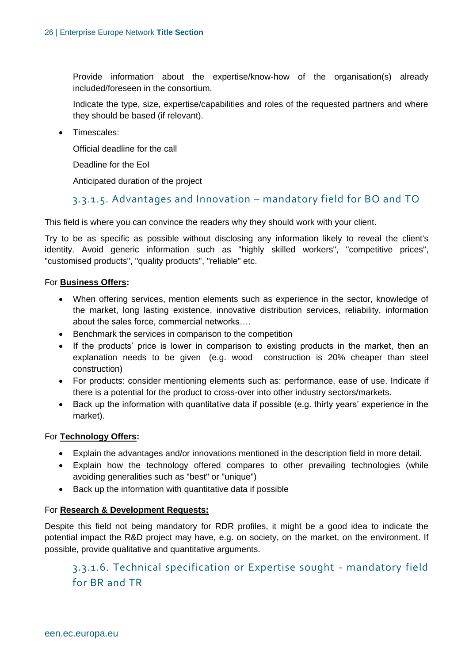Provide information about the expertise/know-how of the organisation(s) already included/foreseen in the consortium.

Indicate the type, size, expertise/capabilities and roles of the requested partners and where they should be based (if relevant).

• Timescales:

Official deadline for the call

Deadline for the EoI

Anticipated duration of the project

#### 3.3.1.5. Advantages and Innovation – mandatory field for BO and TO

This field is where you can convince the readers why they should work with your client.

Try to be as specific as possible without disclosing any information likely to reveal the client's identity. Avoid generic information such as "highly skilled workers", "competitive prices", "customised products", "quality products", "reliable" etc.

#### For **Business Offers:**

- When offering services, mention elements such as experience in the sector, knowledge of the market, long lasting existence, innovative distribution services, reliability, information about the sales force, commercial networks….
- **Benchmark the services in comparison to the competition**
- If the products' price is lower in comparison to existing products in the market, then an explanation needs to be given (e.g. wood construction is 20% cheaper than steel construction)
- For products: consider mentioning elements such as: performance, ease of use. Indicate if there is a potential for the product to cross-over into other industry sectors/markets.
- Back up the information with quantitative data if possible (e.g. thirty years' experience in the market).

#### For **Technology Offers:**

- Explain the advantages and/or innovations mentioned in the description field in more detail.
- Explain how the technology offered compares to other prevailing technologies (while avoiding generalities such as "best" or "unique")
- Back up the information with quantitative data if possible

#### For **Research & Development Requests:**

Despite this field not being mandatory for RDR profiles, it might be a good idea to indicate the potential impact the R&D project may have, e.g. on society, on the market, on the environment. If possible, provide qualitative and quantitative arguments.

#### 3.3.1.6. Technical specification or Expertise sought - mandatory field for BR and TR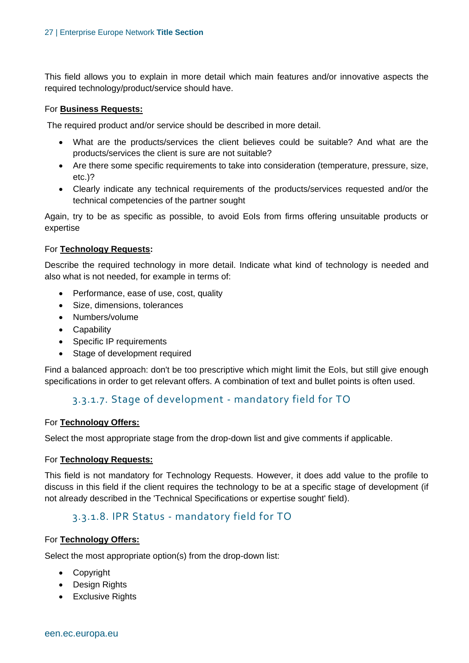This field allows you to explain in more detail which main features and/or innovative aspects the required technology/product/service should have.

#### For **Business Requests:**

The required product and/or service should be described in more detail.

- What are the products/services the client believes could be suitable? And what are the products/services the client is sure are not suitable?
- Are there some specific requirements to take into consideration (temperature, pressure, size, etc.)?
- Clearly indicate any technical requirements of the products/services requested and/or the technical competencies of the partner sought

Again, try to be as specific as possible, to avoid EoIs from firms offering unsuitable products or expertise

#### For **Technology Requests:**

Describe the required technology in more detail. Indicate what kind of technology is needed and also what is not needed, for example in terms of:

- Performance, ease of use, cost, quality
- Size, dimensions, tolerances
- Numbers/volume
- Capability
- Specific IP requirements
- Stage of development required

Find a balanced approach: don't be too prescriptive which might limit the EoIs, but still give enough specifications in order to get relevant offers. A combination of text and bullet points is often used.

#### 3.3.1.7. Stage of development - mandatory field for TO

#### For **Technology Offers:**

Select the most appropriate stage from the drop-down list and give comments if applicable.

#### For **Technology Requests:**

This field is not mandatory for Technology Requests. However, it does add value to the profile to discuss in this field if the client requires the technology to be at a specific stage of development (if not already described in the 'Technical Specifications or expertise sought' field).

#### 3.3.1.8. IPR Status - mandatory field for TO

#### For **Technology Offers:**

Select the most appropriate option(s) from the drop-down list:

- Copyright
- Design Rights
- Exclusive Rights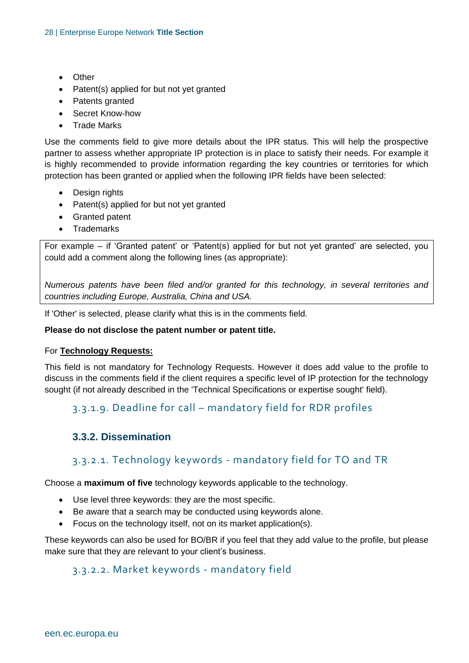- Other
- Patent(s) applied for but not yet granted
- Patents granted
- Secret Know-how
- Trade Marks

Use the comments field to give more details about the IPR status. This will help the prospective partner to assess whether appropriate IP protection is in place to satisfy their needs. For example it is highly recommended to provide information regarding the key countries or territories for which protection has been granted or applied when the following IPR fields have been selected:

- Design rights
- Patent(s) applied for but not yet granted
- Granted patent
- Trademarks

For example – if 'Granted patent' or 'Patent(s) applied for but not yet granted' are selected, you could add a comment along the following lines (as appropriate):

*Numerous patents have been filed and/or granted for this technology, in several territories and countries including Europe, Australia, China and USA.*

If 'Other' is selected, please clarify what this is in the comments field.

#### **Please do not disclose the patent number or patent title.**

#### For **Technology Requests:**

This field is not mandatory for Technology Requests. However it does add value to the profile to discuss in the comments field if the client requires a specific level of IP protection for the technology sought (if not already described in the 'Technical Specifications or expertise sought' field).

#### 3.3.1.9. Deadline for call – mandatory field for RDR profiles

#### <span id="page-27-0"></span>**3.3.2. Dissemination**

#### 3.3.2.1. Technology keywords - mandatory field for TO and TR

Choose a **maximum of five** technology keywords applicable to the technology.

- Use level three keywords: they are the most specific.
- Be aware that a search may be conducted using keywords alone.
- Focus on the technology itself, not on its market application(s).

These keywords can also be used for BO/BR if you feel that they add value to the profile, but please make sure that they are relevant to your client's business.

#### 3.3.2.2. Market keywords - mandatory field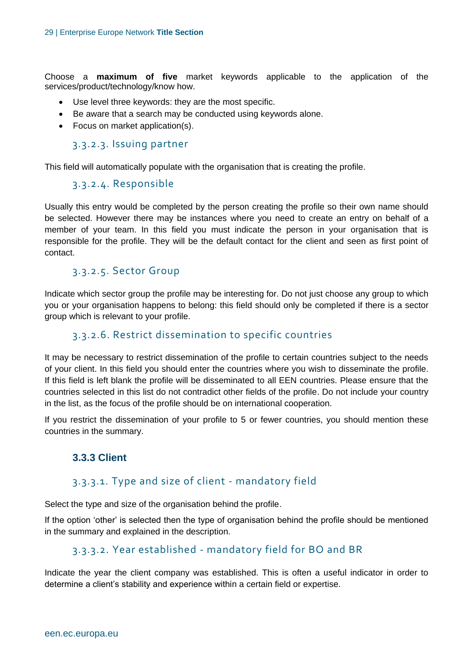Choose a **maximum of five** market keywords applicable to the application of the services/product/technology/know how.

- Use level three keywords: they are the most specific.
- Be aware that a search may be conducted using keywords alone.
- Focus on market application(s).

#### 3.3.2.3. Issuing partner

This field will automatically populate with the organisation that is creating the profile.

#### 3.3.2.4. Responsible

Usually this entry would be completed by the person creating the profile so their own name should be selected. However there may be instances where you need to create an entry on behalf of a member of your team. In this field you must indicate the person in your organisation that is responsible for the profile. They will be the default contact for the client and seen as first point of contact.

#### 3.3.2.5. Sector Group

Indicate which [sector group](http://een.ec.europa.eu/my/n/sector-groups) the profile may be interesting for. Do not just choose any group to which you or your organisation happens to belong: this field should only be completed if there is a sector group which is relevant to your profile.

#### 3.3.2.6. Restrict dissemination to specific countries

It may be necessary to restrict dissemination of the profile to certain countries subject to the needs of your client. In this field you should enter the countries where you wish to disseminate the profile. If this field is left blank the profile will be disseminated to all EEN countries. Please ensure that the countries selected in this list do not contradict other fields of the profile. Do not include your country in the list, as the focus of the profile should be on international cooperation.

<span id="page-28-0"></span>If you restrict the dissemination of your profile to 5 or fewer countries, you should mention these countries in the summary.

#### **3.3.3 Client**

#### 3.3.3.1. Type and size of client - mandatory field

Select the type and size of the organisation behind the profile.

If the option 'other' is selected then the type of organisation behind the profile should be mentioned in the summary and explained in the description.

#### 3.3.3.2. Year established - mandatory field for BO and BR

Indicate the year the client company was established. This is often a useful indicator in order to determine a client's stability and experience within a certain field or expertise.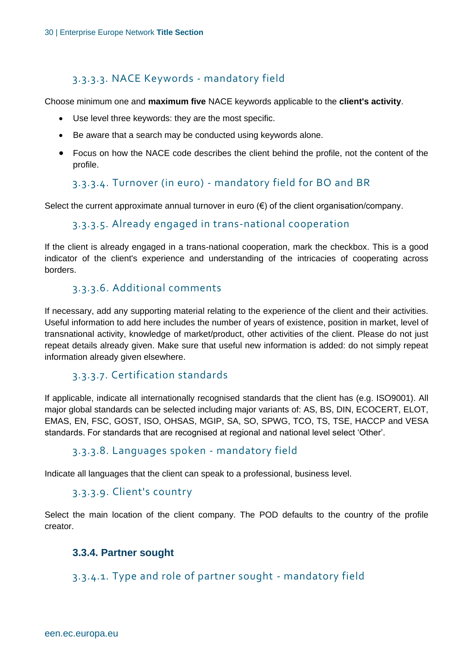#### 3.3.3.3. NACE Keywords - mandatory field

Choose minimum one and **maximum five** NACE keywords applicable to the **client's activity**.

- Use level three keywords: they are the most specific.
- Be aware that a search may be conducted using keywords alone.
- Focus on how the NACE code describes the client behind the profile, not the content of the profile.

#### 3.3.3.4. Turnover (in euro) - mandatory field for BO and BR

Select the current approximate annual turnover in euro  $(\epsilon)$  of the client organisation/company.

#### 3.3.3.5. Already engaged in trans-national cooperation

If the client is already engaged in a trans-national cooperation, mark the checkbox. This is a good indicator of the client's experience and understanding of the intricacies of cooperating across borders.

#### 3.3.3.6. Additional comments

If necessary, add any supporting material relating to the experience of the client and their activities. Useful information to add here includes the number of years of existence, position in market, level of transnational activity, knowledge of market/product, other activities of the client. Please do not just repeat details already given. Make sure that useful new information is added: do not simply repeat information already given elsewhere.

#### 3.3.3.7. Certification standards

If applicable, indicate all internationally recognised standards that the client has (e.g. ISO9001). All major global standards can be selected including major variants of: AS, BS, DIN, ECOCERT, ELOT, EMAS, EN, FSC, GOST, ISO, OHSAS, MGIP, SA, SO, SPWG, TCO, TS, TSE, HACCP and VESA standards. For standards that are recognised at regional and national level select 'Other'.

#### 3.3.3.8. Languages spoken - mandatory field

Indicate all languages that the client can speak to a professional, business level.

#### 3.3.3.9. Client's country

<span id="page-29-0"></span>Select the main location of the client company. The POD defaults to the country of the profile creator.

#### **3.3.4. Partner sought**

#### 3.3.4.1. Type and role of partner sought - mandatory field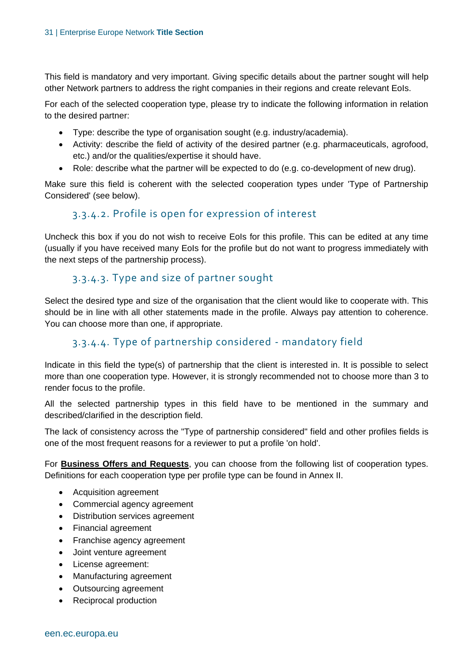This field is mandatory and very important. Giving specific details about the partner sought will help other Network partners to address the right companies in their regions and create relevant EoIs.

For each of the selected cooperation type, please try to indicate the following information in relation to the desired partner:

- Type: describe the type of organisation sought (e.g. industry/academia).
- Activity: describe the field of activity of the desired partner (e.g. pharmaceuticals, agrofood, etc.) and/or the qualities/expertise it should have.
- Role: describe what the partner will be expected to do (e.g. co-development of new drug).

Make sure this field is coherent with the selected cooperation types under 'Type of Partnership Considered' (see below).

#### 3.3.4.2. Profile is open for expression of interest

Uncheck this box if you do not wish to receive EoIs for this profile. This can be edited at any time (usually if you have received many EoIs for the profile but do not want to progress immediately with the next steps of the partnership process).

#### 3.3.4.3. Type and size of partner sought

Select the desired type and size of the organisation that the client would like to cooperate with. This should be in line with all other statements made in the profile. Always pay attention to coherence. You can choose more than one, if appropriate.

#### 3.3.4.4. Type of partnership considered - mandatory field

Indicate in this field the type(s) of partnership that the client is interested in. It is possible to select more than one cooperation type. However, it is strongly recommended not to choose more than 3 to render focus to the profile.

All the selected partnership types in this field have to be mentioned in the summary and described/clarified in the description field.

The lack of consistency across the "Type of partnership considered" field and other profiles fields is one of the most frequent reasons for a reviewer to put a profile 'on hold'.

For **Business Offers and Requests**, you can choose from the following list of cooperation types. Definitions for each cooperation type per profile type can be found in Annex II.

- Acquisition agreement
- Commercial agency agreement
- Distribution services agreement
- Financial agreement
- Franchise agency agreement
- Joint venture agreement
- License agreement:
- Manufacturing agreement
- Outsourcing agreement
- Reciprocal production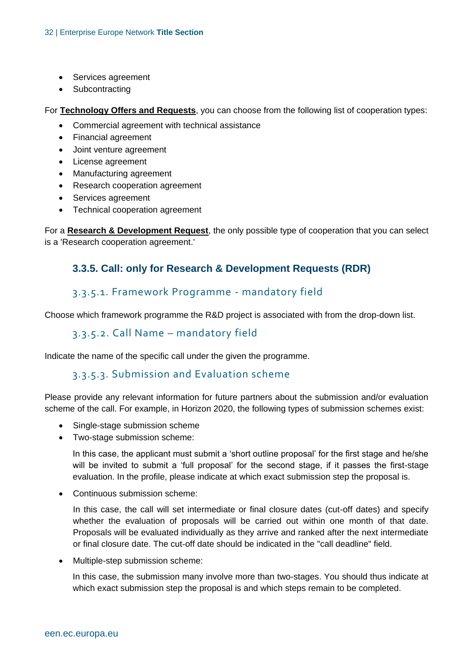- Services agreement
- Subcontracting

For **Technology Offers and Requests**, you can choose from the following list of cooperation types:

- Commercial agreement with technical assistance
- Financial agreement
- Joint venture agreement
- License agreement
- Manufacturing agreement
- Research cooperation agreement
- Services agreement
- Technical cooperation agreement

<span id="page-31-0"></span>For a **Research & Development Request**, the only possible type of cooperation that you can select is a 'Research cooperation agreement.'

#### **3.3.5. Call: only for Research & Development Requests (RDR)**

#### 3.3.5.1. Framework Programme - mandatory field

Choose which framework programme the R&D project is associated with from the drop-down list.

#### 3.3.5.2. Call Name – mandatory field

Indicate the name of the specific call under the given the programme.

#### 3.3.5.3. Submission and Evaluation scheme

Please provide any relevant information for future partners about the submission and/or evaluation scheme of the call. For example, in Horizon 2020, the following types of submission schemes exist:

- Single-stage submission scheme
- Two-stage submission scheme:

In this case, the applicant must submit a 'short outline proposal' for the first stage and he/she will be invited to submit a 'full proposal' for the second stage, if it passes the first-stage evaluation. In the profile, please indicate at which exact submission step the proposal is.

• Continuous submission scheme:

In this case, the call will set intermediate or final closure dates (cut-off dates) and specify whether the evaluation of proposals will be carried out within one month of that date. Proposals will be evaluated individually as they arrive and ranked after the next intermediate or final closure date. The cut-off date should be indicated in the "call deadline" field.

• Multiple-step submission scheme:

In this case, the submission many involve more than two-stages. You should thus indicate at which exact submission step the proposal is and which steps remain to be completed.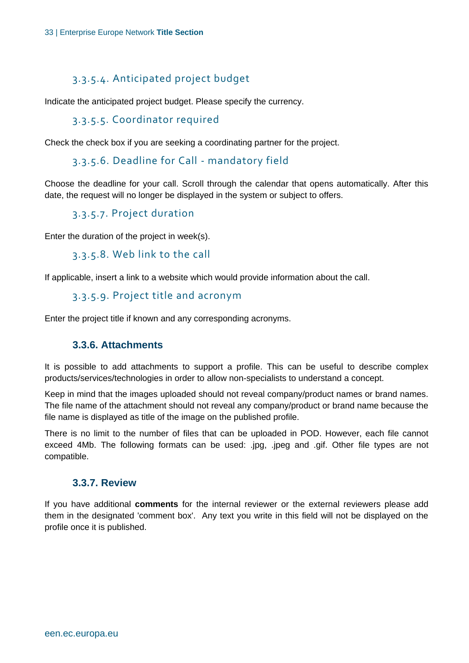#### 3.3.5.4. Anticipated project budget

Indicate the anticipated project budget. Please specify the currency.

#### 3.3.5.5. Coordinator required

Check the check box if you are seeking a coordinating partner for the project.

#### 3.3.5.6. Deadline for Call - mandatory field

Choose the deadline for your call. Scroll through the calendar that opens automatically. After this date, the request will no longer be displayed in the system or subject to offers.

#### 3.3.5.7. Project duration

Enter the duration of the project in week(s).

```
3.3.5.8. Web link to the call
```
If applicable, insert a link to a website which would provide information about the call.

#### 3.3.5.9. Project title and acronym

<span id="page-32-0"></span>Enter the project title if known and any corresponding acronyms.

#### **3.3.6. Attachments**

It is possible to add attachments to support a profile. This can be useful to describe complex products/services/technologies in order to allow non-specialists to understand a concept.

Keep in mind that the images uploaded should not reveal company/product names or brand names. The file name of the attachment should not reveal any company/product or brand name because the file name is displayed as title of the image on the published profile.

There is no limit to the number of files that can be uploaded in POD. However, each file cannot exceed 4Mb. The following formats can be used: .jpg, .jpeg and .gif. Other file types are not compatible.

#### <span id="page-32-1"></span>**3.3.7. Review**

If you have additional **comments** for the internal reviewer or the external reviewers please add them in the designated 'comment box'. Any text you write in this field will not be displayed on the profile once it is published.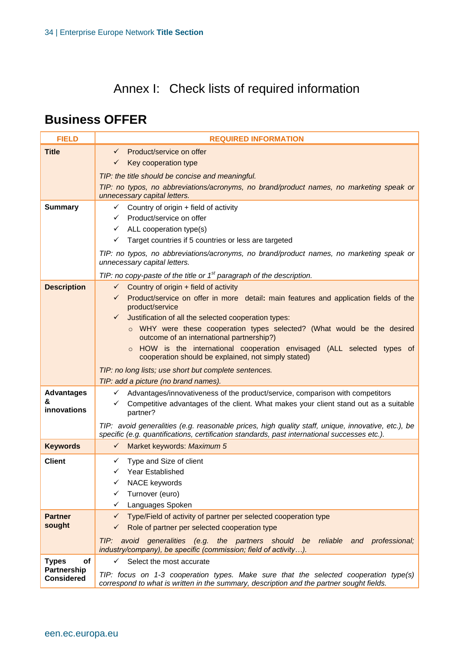# Annex I: Check lists of required information

### <span id="page-33-0"></span>**Business OFFER**

| <b>FIELD</b>                     | <b>REQUIRED INFORMATION</b>                                                                                                                                                                        |  |
|----------------------------------|----------------------------------------------------------------------------------------------------------------------------------------------------------------------------------------------------|--|
| <b>Title</b>                     | Product/service on offer<br>$\checkmark$                                                                                                                                                           |  |
|                                  | Key cooperation type<br>$\checkmark$                                                                                                                                                               |  |
|                                  | TIP: the title should be concise and meaningful.                                                                                                                                                   |  |
|                                  | TIP: no typos, no abbreviations/acronyms, no brand/product names, no marketing speak or<br>unnecessary capital letters.                                                                            |  |
| <b>Summary</b>                   | $\checkmark$ Country of origin + field of activity                                                                                                                                                 |  |
|                                  | Product/service on offer<br>$\checkmark$                                                                                                                                                           |  |
|                                  | $\checkmark$ ALL cooperation type(s)                                                                                                                                                               |  |
|                                  | $\checkmark$ Target countries if 5 countries or less are targeted                                                                                                                                  |  |
|                                  | TIP: no typos, no abbreviations/acronyms, no brand/product names, no marketing speak or<br>unnecessary capital letters.                                                                            |  |
|                                  | TIP: no copy-paste of the title or $1st$ paragraph of the description.                                                                                                                             |  |
| <b>Description</b>               | $\checkmark$ Country of origin + field of activity                                                                                                                                                 |  |
|                                  | √ Product/service on offer in more detail: main features and application fields of the<br>product/service                                                                                          |  |
|                                  | Justification of all the selected cooperation types:<br>✓                                                                                                                                          |  |
|                                  | o WHY were these cooperation types selected? (What would be the desired<br>outcome of an international partnership?)                                                                               |  |
|                                  | HOW is the international cooperation envisaged (ALL selected types of<br>$\circ$                                                                                                                   |  |
|                                  | cooperation should be explained, not simply stated)                                                                                                                                                |  |
|                                  | TIP: no long lists; use short but complete sentences.                                                                                                                                              |  |
|                                  | TIP: add a picture (no brand names).                                                                                                                                                               |  |
| <b>Advantages</b><br>&           | ← Advantages/innovativeness of the product/service, comparison with competitors                                                                                                                    |  |
| innovations                      | Competitive advantages of the client. What makes your client stand out as a suitable<br>$\checkmark$<br>partner?                                                                                   |  |
|                                  | TIP: avoid generalities (e.g. reasonable prices, high quality staff, unique, innovative, etc.), be<br>specific (e.g. quantifications, certification standards, past international successes etc.). |  |
| <b>Keywords</b>                  | $\checkmark$ Market keywords: Maximum 5                                                                                                                                                            |  |
| <b>Client</b>                    | Type and Size of client<br>$\checkmark$                                                                                                                                                            |  |
|                                  | Year Established<br>✓                                                                                                                                                                              |  |
|                                  | NACE keywords<br>$\checkmark$                                                                                                                                                                      |  |
|                                  | Turnover (euro)<br>✓                                                                                                                                                                               |  |
|                                  | Languages Spoken<br>✓                                                                                                                                                                              |  |
| Partner<br>sought                | Type/Field of activity of partner per selected cooperation type<br>$\checkmark$                                                                                                                    |  |
|                                  | Role of partner per selected cooperation type<br>$\checkmark$                                                                                                                                      |  |
|                                  | TIP: avoid generalities (e.g. the partners should be reliable and professional;<br>industry/company), be specific (commission; field of activity).                                                 |  |
| <b>Types</b><br>Οf               | $\checkmark$<br>Select the most accurate                                                                                                                                                           |  |
| Partnership<br><b>Considered</b> | TIP: focus on 1-3 cooperation types. Make sure that the selected cooperation type(s)<br>correspond to what is written in the summary, description and the partner sought fields.                   |  |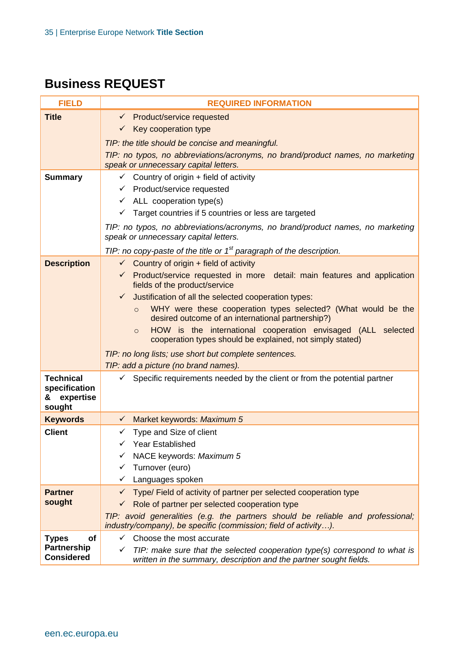### **Business REQUEST**

| <b>FIELD</b>                                                         | <b>REQUIRED INFORMATION</b>                                                                                                                                                                                                                                                                                                                                                                                                                                                                            |  |
|----------------------------------------------------------------------|--------------------------------------------------------------------------------------------------------------------------------------------------------------------------------------------------------------------------------------------------------------------------------------------------------------------------------------------------------------------------------------------------------------------------------------------------------------------------------------------------------|--|
| <b>Title</b>                                                         | ← Product/service requested                                                                                                                                                                                                                                                                                                                                                                                                                                                                            |  |
|                                                                      | $\checkmark$ Key cooperation type                                                                                                                                                                                                                                                                                                                                                                                                                                                                      |  |
|                                                                      | TIP: the title should be concise and meaningful.                                                                                                                                                                                                                                                                                                                                                                                                                                                       |  |
|                                                                      | TIP: no typos, no abbreviations/acronyms, no brand/product names, no marketing<br>speak or unnecessary capital letters.                                                                                                                                                                                                                                                                                                                                                                                |  |
| <b>Summary</b>                                                       | $\checkmark$ Country of origin + field of activity<br>$\checkmark$ Product/service requested<br>$\checkmark$ ALL cooperation type(s)<br>Target countries if 5 countries or less are targeted                                                                                                                                                                                                                                                                                                           |  |
|                                                                      | TIP: no typos, no abbreviations/acronyms, no brand/product names, no marketing<br>speak or unnecessary capital letters.                                                                                                                                                                                                                                                                                                                                                                                |  |
|                                                                      | TIP: no copy-paste of the title or $1st$ paragraph of the description.                                                                                                                                                                                                                                                                                                                                                                                                                                 |  |
| <b>Description</b>                                                   | $\checkmark$ Country of origin + field of activity<br>← Product/service requested in more detail: main features and application<br>fields of the product/service<br>Justification of all the selected cooperation types:<br>✓<br>WHY were these cooperation types selected? (What would be the<br>$\circ$<br>desired outcome of an international partnership?)<br>HOW is the international cooperation envisaged (ALL selected<br>$\circ$<br>cooperation types should be explained, not simply stated) |  |
|                                                                      | TIP: no long lists; use short but complete sentences.                                                                                                                                                                                                                                                                                                                                                                                                                                                  |  |
| <b>Technical</b><br>specification<br>expertise<br>&<br>sought        | TIP: add a picture (no brand names).<br>$\checkmark$ Specific requirements needed by the client or from the potential partner                                                                                                                                                                                                                                                                                                                                                                          |  |
| <b>Keywords</b>                                                      | Market keywords: Maximum 5<br>$\checkmark$                                                                                                                                                                                                                                                                                                                                                                                                                                                             |  |
| <b>Client</b>                                                        | Type and Size of client<br>✓<br><b>Year Established</b><br>✓<br>NACE keywords: Maximum 5<br>Turnover (euro)<br>✓<br>Languages spoken<br>✓                                                                                                                                                                                                                                                                                                                                                              |  |
| <b>Partner</b><br>sought                                             | Type/ Field of activity of partner per selected cooperation type<br>✓<br>Role of partner per selected cooperation type<br>✓<br>TIP: avoid generalities (e.g. the partners should be reliable and professional;<br>industry/company), be specific (commission; field of activity).                                                                                                                                                                                                                      |  |
| <b>Types</b><br><b>of</b><br><b>Partnership</b><br><b>Considered</b> | Choose the most accurate<br>✓<br>TIP: make sure that the selected cooperation type(s) correspond to what is<br>✓<br>written in the summary, description and the partner sought fields.                                                                                                                                                                                                                                                                                                                 |  |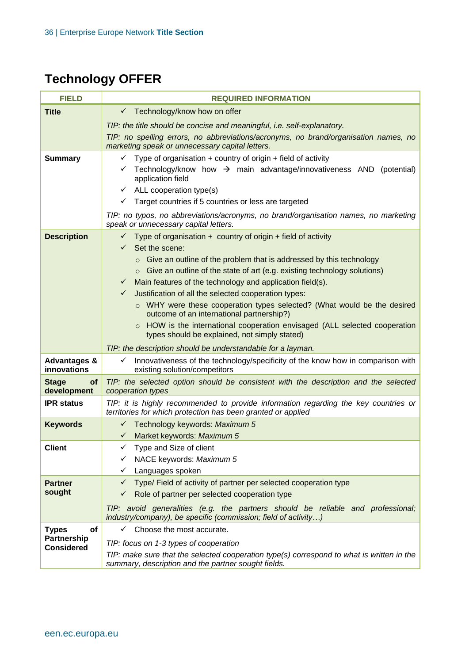# **Technology OFFER**

| <b>FIELD</b>                           | <b>REQUIRED INFORMATION</b>                                                                                                                         |  |
|----------------------------------------|-----------------------------------------------------------------------------------------------------------------------------------------------------|--|
| <b>Title</b>                           | Technology/know how on offer<br>✓                                                                                                                   |  |
|                                        | TIP: the title should be concise and meaningful, <i>i.e.</i> self-explanatory.                                                                      |  |
|                                        | TIP: no spelling errors, no abbreviations/acronyms, no brand/organisation names, no<br>marketing speak or unnecessary capital letters.              |  |
| <b>Summary</b>                         | Type of organisation $+$ country of origin $+$ field of activity<br>$\checkmark$                                                                    |  |
|                                        | Technology/know how $\rightarrow$ main advantage/innovativeness AND (potential)<br>application field                                                |  |
|                                        | $\checkmark$ ALL cooperation type(s)                                                                                                                |  |
|                                        | Target countries if 5 countries or less are targeted<br>✓                                                                                           |  |
|                                        | TIP: no typos, no abbreviations/acronyms, no brand/organisation names, no marketing<br>speak or unnecessary capital letters.                        |  |
| <b>Description</b>                     | $\checkmark$ Type of organisation + country of origin + field of activity<br>Set the scene:<br>$\checkmark$                                         |  |
|                                        | $\circ$ Give an outline of the problem that is addressed by this technology                                                                         |  |
|                                        | $\circ$ Give an outline of the state of art (e.g. existing technology solutions)                                                                    |  |
|                                        | Main features of the technology and application field(s).<br>$\checkmark$                                                                           |  |
|                                        | $\checkmark$<br>Justification of all the selected cooperation types:                                                                                |  |
|                                        | ○ WHY were these cooperation types selected? (What would be the desired<br>outcome of an international partnership?)                                |  |
|                                        | o HOW is the international cooperation envisaged (ALL selected cooperation<br>types should be explained, not simply stated)                         |  |
|                                        | TIP: the description should be understandable for a layman.                                                                                         |  |
| <b>Advantages &amp;</b><br>innovations | Innovativeness of the technology/specificity of the know how in comparison with<br>✓<br>existing solution/competitors                               |  |
| of<br><b>Stage</b><br>development      | TIP: the selected option should be consistent with the description and the selected<br>cooperation types                                            |  |
| <b>IPR</b> status                      | TIP: it is highly recommended to provide information regarding the key countries or<br>territories for which protection has been granted or applied |  |
| <b>Keywords</b>                        | ← Technology keywords: Maximum 5                                                                                                                    |  |
|                                        | Market keywords: Maximum 5<br>$\checkmark$                                                                                                          |  |
| <b>Client</b>                          | Type and Size of client                                                                                                                             |  |
|                                        | NACE keywords: Maximum 5                                                                                                                            |  |
| <b>Partner</b>                         | Languages spoken<br>✓<br>Type/ Field of activity of partner per selected cooperation type<br>$\checkmark$                                           |  |
| sought                                 | Role of partner per selected cooperation type<br>✓                                                                                                  |  |
|                                        | TIP: avoid generalities (e.g. the partners should be reliable and professional;<br>industry/company), be specific (commission; field of activity)   |  |
| <b>Types</b><br><b>of</b>              | Choose the most accurate.<br>$\checkmark$                                                                                                           |  |
| Partnership<br><b>Considered</b>       | TIP: focus on 1-3 types of cooperation                                                                                                              |  |
|                                        | TIP: make sure that the selected cooperation type(s) correspond to what is written in the<br>summary, description and the partner sought fields.    |  |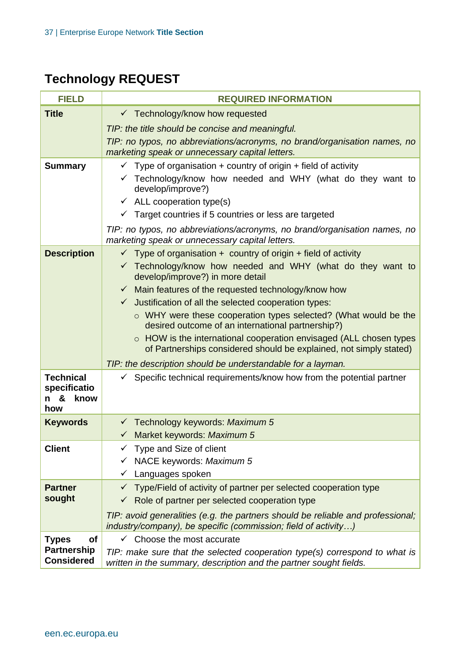# **Technology REQUEST**

| <b>FIELD</b>                                                | <b>REQUIRED INFORMATION</b>                                                                                                                                                                                                                                                                                                                                                                                                                                                                                                                                                                                                                                                |
|-------------------------------------------------------------|----------------------------------------------------------------------------------------------------------------------------------------------------------------------------------------------------------------------------------------------------------------------------------------------------------------------------------------------------------------------------------------------------------------------------------------------------------------------------------------------------------------------------------------------------------------------------------------------------------------------------------------------------------------------------|
| <b>Title</b>                                                | $\checkmark$ Technology/know how requested                                                                                                                                                                                                                                                                                                                                                                                                                                                                                                                                                                                                                                 |
|                                                             | TIP: the title should be concise and meaningful.                                                                                                                                                                                                                                                                                                                                                                                                                                                                                                                                                                                                                           |
|                                                             | TIP: no typos, no abbreviations/acronyms, no brand/organisation names, no<br>marketing speak or unnecessary capital letters.                                                                                                                                                                                                                                                                                                                                                                                                                                                                                                                                               |
| <b>Summary</b>                                              | $\checkmark$ Type of organisation + country of origin + field of activity<br>$\checkmark$ Technology/know how needed and WHY (what do they want to<br>develop/improve?)<br>$\checkmark$ ALL cooperation type(s)<br>$\checkmark$ Target countries if 5 countries or less are targeted<br>TIP: no typos, no abbreviations/acronyms, no brand/organisation names, no<br>marketing speak or unnecessary capital letters.                                                                                                                                                                                                                                                       |
| <b>Description</b>                                          | $\checkmark$ Type of organisation + country of origin + field of activity<br>$\checkmark$ Technology/know how needed and WHY (what do they want to<br>develop/improve?) in more detail<br>$\checkmark$ Main features of the requested technology/know how<br>Justification of all the selected cooperation types:<br>$\checkmark$<br>o WHY were these cooperation types selected? (What would be the<br>desired outcome of an international partnership?)<br>$\circ$ HOW is the international cooperation envisaged (ALL chosen types<br>of Partnerships considered should be explained, not simply stated)<br>TIP: the description should be understandable for a layman. |
| <b>Technical</b><br>specificatio<br>&<br>know<br>n i<br>how | Specific technical requirements/know how from the potential partner                                                                                                                                                                                                                                                                                                                                                                                                                                                                                                                                                                                                        |
| <b>Keywords</b>                                             | $\checkmark$ Technology keywords: Maximum 5<br>$\checkmark$ Market keywords: Maximum 5                                                                                                                                                                                                                                                                                                                                                                                                                                                                                                                                                                                     |
| <b>Client</b>                                               | Type and Size of client<br>NACE keywords: Maximum 5<br>Languages spoken<br>✓                                                                                                                                                                                                                                                                                                                                                                                                                                                                                                                                                                                               |
| <b>Partner</b>                                              | Type/Field of activity of partner per selected cooperation type                                                                                                                                                                                                                                                                                                                                                                                                                                                                                                                                                                                                            |
| sought                                                      | Role of partner per selected cooperation type<br>✓                                                                                                                                                                                                                                                                                                                                                                                                                                                                                                                                                                                                                         |
|                                                             | TIP: avoid generalities (e.g. the partners should be reliable and professional;<br>industry/company), be specific (commission; field of activity)                                                                                                                                                                                                                                                                                                                                                                                                                                                                                                                          |
| <b>Types</b><br>of                                          | Choose the most accurate                                                                                                                                                                                                                                                                                                                                                                                                                                                                                                                                                                                                                                                   |
| <b>Partnership</b><br><b>Considered</b>                     | TIP: make sure that the selected cooperation type(s) correspond to what is<br>written in the summary, description and the partner sought fields.                                                                                                                                                                                                                                                                                                                                                                                                                                                                                                                           |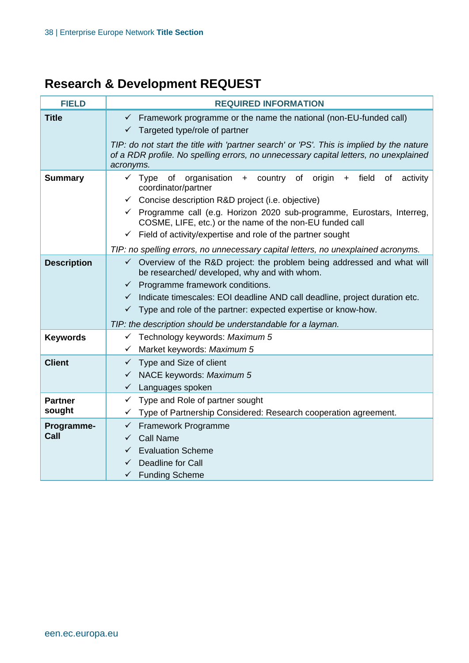## **Research & Development REQUEST**

| <b>FIELD</b>       | <b>REQUIRED INFORMATION</b>                                                                                                                                                      |  |  |
|--------------------|----------------------------------------------------------------------------------------------------------------------------------------------------------------------------------|--|--|
| <b>Title</b>       | $\checkmark$ Framework programme or the name the national (non-EU-funded call)                                                                                                   |  |  |
|                    | $\checkmark$ Targeted type/role of partner                                                                                                                                       |  |  |
|                    | TIP: do not start the title with 'partner search' or 'PS'. This is implied by the nature<br>of a RDR profile. No spelling errors, no unnecessary capital letters, no unexplained |  |  |
|                    | acronyms.                                                                                                                                                                        |  |  |
| <b>Summary</b>     | $\checkmark$ Type of<br>organisation + country of origin<br>field<br>0f<br>activity<br>$+$<br>coordinator/partner                                                                |  |  |
|                    | $\checkmark$ Concise description R&D project (i.e. objective)                                                                                                                    |  |  |
|                    | $\checkmark$ Programme call (e.g. Horizon 2020 sub-programme, Eurostars, Interreg,<br>COSME, LIFE, etc.) or the name of the non-EU funded call                                   |  |  |
|                    | $\checkmark$ Field of activity/expertise and role of the partner sought                                                                                                          |  |  |
|                    | TIP: no spelling errors, no unnecessary capital letters, no unexplained acronyms.                                                                                                |  |  |
| <b>Description</b> | $\checkmark$ Overview of the R&D project: the problem being addressed and what will<br>be researched/ developed, why and with whom.                                              |  |  |
|                    | $\checkmark$ Programme framework conditions.                                                                                                                                     |  |  |
|                    | √ Indicate timescales: EOI deadline AND call deadline, project duration etc.                                                                                                     |  |  |
|                    | $\checkmark$ Type and role of the partner: expected expertise or know-how.                                                                                                       |  |  |
|                    | TIP: the description should be understandable for a layman.                                                                                                                      |  |  |
| <b>Keywords</b>    | $\checkmark$ Technology keywords: Maximum 5                                                                                                                                      |  |  |
|                    | √ Market keywords: Maximum 5                                                                                                                                                     |  |  |
| <b>Client</b>      | $\checkmark$ Type and Size of client                                                                                                                                             |  |  |
|                    | √ NACE keywords: Maximum 5                                                                                                                                                       |  |  |
|                    | $\checkmark$ Languages spoken                                                                                                                                                    |  |  |
| <b>Partner</b>     | $\checkmark$ Type and Role of partner sought                                                                                                                                     |  |  |
| sought             | Type of Partnership Considered: Research cooperation agreement.<br>✓                                                                                                             |  |  |
| Programme-         | Framework Programme<br>$\checkmark$                                                                                                                                              |  |  |
| Call               | <b>Call Name</b><br>$\checkmark$                                                                                                                                                 |  |  |
|                    | <b>Evaluation Scheme</b><br>$\checkmark$                                                                                                                                         |  |  |
|                    | Deadline for Call<br>$\checkmark$                                                                                                                                                |  |  |
|                    | <b>Funding Scheme</b><br>$\checkmark$                                                                                                                                            |  |  |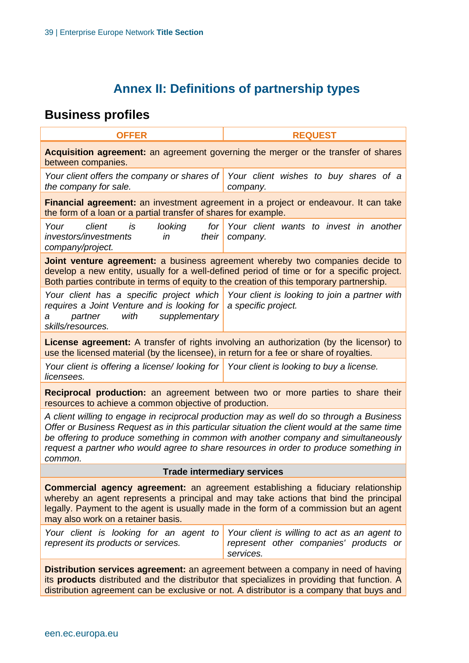### **Annex II: Definitions of partnership types**

### <span id="page-38-0"></span>**Business profiles**

| <b>OFFER</b>                                                                                                                                                                                                                                                                                                                                                                      | <b>REQUEST</b>                                                                                      |  |
|-----------------------------------------------------------------------------------------------------------------------------------------------------------------------------------------------------------------------------------------------------------------------------------------------------------------------------------------------------------------------------------|-----------------------------------------------------------------------------------------------------|--|
| <b>Acquisition agreement:</b> an agreement governing the merger or the transfer of shares<br>between companies.                                                                                                                                                                                                                                                                   |                                                                                                     |  |
| Your client offers the company or shares of<br>the company for sale.                                                                                                                                                                                                                                                                                                              | Your client wishes to buy shares of a<br>company.                                                   |  |
| the form of a loan or a partial transfer of shares for example.                                                                                                                                                                                                                                                                                                                   | Financial agreement: an investment agreement in a project or endeavour. It can take                 |  |
| Your<br>client<br>looking<br>for<br>is<br>investors/investments<br>in<br>their<br>company/project.                                                                                                                                                                                                                                                                                | Your client wants to invest in another<br>company.                                                  |  |
| <b>Joint venture agreement:</b> a business agreement whereby two companies decide to<br>develop a new entity, usually for a well-defined period of time or for a specific project.<br>Both parties contribute in terms of equity to the creation of this temporary partnership.                                                                                                   |                                                                                                     |  |
| Your client has a specific project which<br>requires a Joint Venture and is looking for<br>with<br>supplementary<br>partner<br>a<br>skills/resources.                                                                                                                                                                                                                             | Your client is looking to join a partner with<br>a specific project.                                |  |
| License agreement: A transfer of rights involving an authorization (by the licensor) to<br>use the licensed material (by the licensee), in return for a fee or share of royalties.                                                                                                                                                                                                |                                                                                                     |  |
| Your client is offering a license/looking for<br>licensees.                                                                                                                                                                                                                                                                                                                       | Your client is looking to buy a license.                                                            |  |
| Reciprocal production: an agreement between two or more parties to share their<br>resources to achieve a common objective of production.                                                                                                                                                                                                                                          |                                                                                                     |  |
| A client willing to engage in reciprocal production may as well do so through a Business<br>Offer or Business Request as in this particular situation the client would at the same time<br>be offering to produce something in common with another company and simultaneously<br>request a partner who would agree to share resources in order to produce something in<br>common. |                                                                                                     |  |
| <b>Trade intermediary services</b>                                                                                                                                                                                                                                                                                                                                                |                                                                                                     |  |
| <b>Commercial agency agreement:</b> an agreement establishing a fiduciary relationship<br>whereby an agent represents a principal and may take actions that bind the principal<br>legally. Payment to the agent is usually made in the form of a commission but an agent<br>may also work on a retainer basis.                                                                    |                                                                                                     |  |
| Your client is looking for an agent to<br>represent its products or services.                                                                                                                                                                                                                                                                                                     | Your client is willing to act as an agent to<br>represent other companies' products or<br>services. |  |
| Distribution services agreement: an agreement between a company in need of having<br>its <b>products</b> distributed and the distributor that specializes in providing that function. A<br>distribution agreement can be exclusive or not. A distributor is a company that buys and                                                                                               |                                                                                                     |  |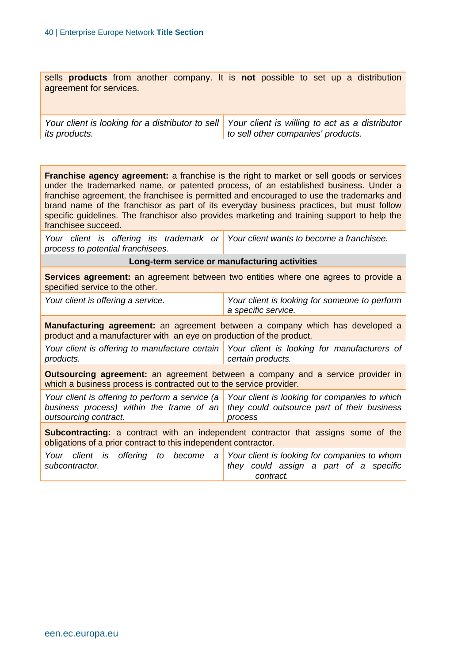sells **products** from another company. It is **not** possible to set up a distribution agreement for services.

*Your client is looking for a distributor to sell its products. Your client is willing to act as a distributor to sell other companies' products.*

**Franchise agency agreement:** a franchise is the right to market or sell goods or services under the trademarked name, or patented process, of an established business. Under a franchise agreement, the franchisee is permitted and encouraged to use the trademarks and brand name of the franchisor as part of its everyday business practices, but must follow specific guidelines. The franchisor also provides marketing and training support to help the franchisee succeed.

Your client is offering its trademark or Your client wants to become a franchisee. *process to potential franchisees.*

**Long-term service or manufacturing activities**

**Services agreement:** an agreement between two entities where one agrees to provide a specified service to the other.

| Your client is offering a service. | Your client is looking for someone to perform |
|------------------------------------|-----------------------------------------------|
|                                    | a specific service.                           |
|                                    |                                               |

**Manufacturing agreement:** an agreement between a company which has developed a product and a manufacturer with an eye on production of the product.

Your client is offering to manufacture certain | Your client is looking for manufacturers of *products. certain products.*

**Outsourcing agreement:** an agreement between a company and a service provider in which a business process is contracted out to the service provider.

*Your client is offering to perform a service (a Your client is looking for companies to which business process) within the frame of an they could outsource part of their business outsourcing contract. process*

**Subcontracting:** a contract with an independent contractor that assigns some of the obligations of a prior contract to this independent contractor.

|                |  | Your client is offering to become a Your client is looking for companies to whom |           |  |  |  |  |  |  |  |                                        |
|----------------|--|----------------------------------------------------------------------------------|-----------|--|--|--|--|--|--|--|----------------------------------------|
| subcontractor. |  |                                                                                  |           |  |  |  |  |  |  |  | they could assign a part of a specific |
|                |  |                                                                                  | contract. |  |  |  |  |  |  |  |                                        |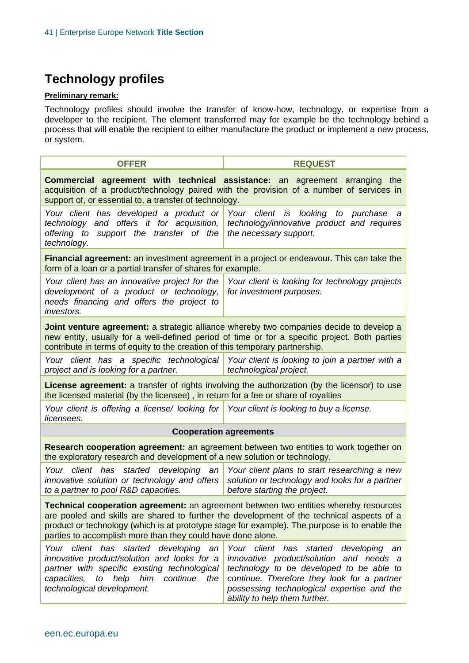### **Technology profiles**

#### **Preliminary remark:**

Technology profiles should involve the transfer of know-how, technology, or expertise from a developer to the recipient. The element transferred may for example be the technology behind a process that will enable the recipient to either manufacture the product or implement a new process, or system.

| <b>OFFER</b>                                                                                                                                                                                                                                                                                                                                             | <b>REQUEST</b>                                                                                                                                                                                                                                                   |  |  |  |  |  |  |  |
|----------------------------------------------------------------------------------------------------------------------------------------------------------------------------------------------------------------------------------------------------------------------------------------------------------------------------------------------------------|------------------------------------------------------------------------------------------------------------------------------------------------------------------------------------------------------------------------------------------------------------------|--|--|--|--|--|--|--|
| <b>Commercial agreement with technical assistance:</b> an agreement arranging the<br>acquisition of a product/technology paired with the provision of a number of services in<br>support of, or essential to, a transfer of technology.                                                                                                                  |                                                                                                                                                                                                                                                                  |  |  |  |  |  |  |  |
| Your client has developed a product or<br>technology and offers it for acquisition,<br>offering to support the transfer of the<br>technology.                                                                                                                                                                                                            | Your client is looking to<br>purchase<br>а<br>technology/innovative product and requires<br>the necessary support.                                                                                                                                               |  |  |  |  |  |  |  |
| Financial agreement: an investment agreement in a project or endeavour. This can take the<br>form of a loan or a partial transfer of shares for example.                                                                                                                                                                                                 |                                                                                                                                                                                                                                                                  |  |  |  |  |  |  |  |
| Your client has an innovative project for the<br>development of a product or technology,<br>needs financing and offers the project to<br>investors.                                                                                                                                                                                                      | Your client is looking for technology projects<br>for investment purposes.                                                                                                                                                                                       |  |  |  |  |  |  |  |
| Joint venture agreement: a strategic alliance whereby two companies decide to develop a<br>new entity, usually for a well-defined period of time or for a specific project. Both parties<br>contribute in terms of equity to the creation of this temporary partnership.                                                                                 |                                                                                                                                                                                                                                                                  |  |  |  |  |  |  |  |
| project and is looking for a partner.                                                                                                                                                                                                                                                                                                                    | Your client has a specific technological Your client is looking to join a partner with a<br>technological project.                                                                                                                                               |  |  |  |  |  |  |  |
| <b>License agreement:</b> a transfer of rights involving the authorization (by the licensor) to use<br>the licensed material (by the licensee), in return for a fee or share of royalties                                                                                                                                                                |                                                                                                                                                                                                                                                                  |  |  |  |  |  |  |  |
| Your client is offering a license/ looking for Your client is looking to buy a license.<br>licensees.                                                                                                                                                                                                                                                    |                                                                                                                                                                                                                                                                  |  |  |  |  |  |  |  |
| <b>Cooperation agreements</b>                                                                                                                                                                                                                                                                                                                            |                                                                                                                                                                                                                                                                  |  |  |  |  |  |  |  |
| Research cooperation agreement: an agreement between two entities to work together on<br>the exploratory research and development of a new solution or technology.                                                                                                                                                                                       |                                                                                                                                                                                                                                                                  |  |  |  |  |  |  |  |
| Your client has started developing an<br>innovative solution or technology and offers<br>to a partner to pool R&D capacities.                                                                                                                                                                                                                            | Your client plans to start researching a new<br>solution or technology and looks for a partner<br>before starting the project.                                                                                                                                   |  |  |  |  |  |  |  |
| <b>Technical cooperation agreement:</b> an agreement between two entities whereby resources<br>are pooled and skills are shared to further the development of the technical aspects of a<br>product or technology (which is at prototype stage for example). The purpose is to enable the<br>parties to accomplish more than they could have done alone. |                                                                                                                                                                                                                                                                  |  |  |  |  |  |  |  |
| Your client has started developing an<br>innovative product/solution and looks for a<br>partner with specific existing technological<br>to help<br>him<br>capacities,<br>continue<br>the<br>technological development.                                                                                                                                   | Your client has started<br>developing<br>an<br>innovative product/solution and needs a<br>technology to be developed to be able to<br>continue. Therefore they look for a partner<br>possessing technological expertise and the<br>ability to help them further. |  |  |  |  |  |  |  |